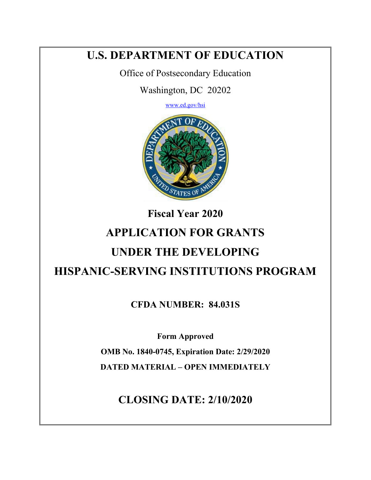## **U.S. DEPARTMENT OF EDUCATION**

Office of Postsecondary Education

Washington, DC 20202

[www.ed.gov/hsi](http://www.ed.gov/hsi)



**Fiscal Year 2020**

# **APPLICATION FOR GRANTS UNDER THE DEVELOPING**

**HISPANIC-SERVING INSTITUTIONS PROGRAM**

**CFDA NUMBER: 84.031S**

**Form Approved**

**OMB No. 1840-0745, Expiration Date: 2/29/2020**

**DATED MATERIAL – OPEN IMMEDIATELY**

**CLOSING DATE: 2/10/2020**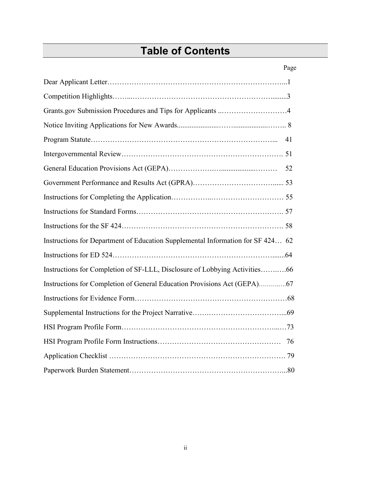# **Table of Contents**

|                                                                                 | Page |
|---------------------------------------------------------------------------------|------|
|                                                                                 |      |
|                                                                                 |      |
| Grants.gov Submission Procedures and Tips for Applicants 4                      |      |
|                                                                                 |      |
|                                                                                 | 41   |
|                                                                                 |      |
|                                                                                 | 52   |
|                                                                                 |      |
|                                                                                 |      |
|                                                                                 |      |
|                                                                                 |      |
| Instructions for Department of Education Supplemental Information for SF 424 62 |      |
|                                                                                 |      |
| Instructions for Completion of SF-LLL, Disclosure of Lobbying Activities66      |      |
| Instructions for Completion of General Education Provisions Act (GEPA)67        |      |
|                                                                                 |      |
|                                                                                 |      |
|                                                                                 |      |
|                                                                                 |      |
|                                                                                 |      |
|                                                                                 |      |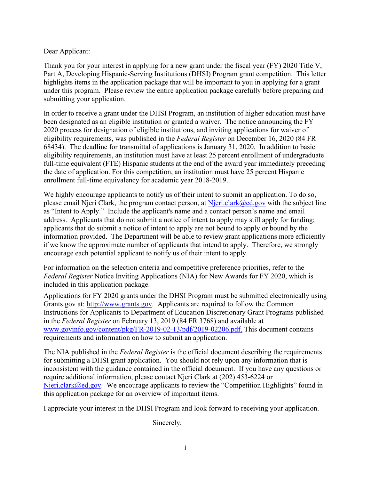#### Dear Applicant:

Thank you for your interest in applying for a new grant under the fiscal year (FY) 2020 Title V, Part A, Developing Hispanic-Serving Institutions (DHSI) Program grant competition. This letter highlights items in the application package that will be important to you in applying for a grant under this program. Please review the entire application package carefully before preparing and submitting your application.

In order to receive a grant under the DHSI Program, an institution of higher education must have been designated as an eligible institution or granted a waiver. The notice announcing the FY 2020 process for designation of eligible institutions, and inviting applications for waiver of eligibility requirements, was published in the *Federal Register* on December 16, 2020 (84 FR 68434). The deadline for transmittal of applications is January 31, 2020. In addition to basic eligibility requirements, an institution must have at least 25 percent enrollment of undergraduate full-time equivalent (FTE) Hispanic students at the end of the award year immediately preceding the date of application. For this competition, an institution must have 25 percent Hispanic enrollment full-time equivalency for academic year 2018-2019.

We highly encourage applicants to notify us of their intent to submit an application. To do so, please email Njeri Clark, the program contact person, at  $N$ jeri.clark@ed.gov with the subject line as "Intent to Apply." Include the applicant's name and a contact person's name and email address. Applicants that do not submit a notice of intent to apply may still apply for funding; applicants that do submit a notice of intent to apply are not bound to apply or bound by the information provided. The Department will be able to review grant applications more efficiently if we know the approximate number of applicants that intend to apply. Therefore, we strongly encourage each potential applicant to notify us of their intent to apply.

For information on the selection criteria and competitive preference priorities, refer to the *Federal Register* Notice Inviting Applications (NIA) for New Awards for FY 2020, which is included in this application package.

Applications for FY 2020 grants under the DHSI Program must be submitted electronically using Grants.gov at: [http://www.grants.gov.](http://www.grants.gov/) Applicants are required to follow the Common Instructions for Applicants to Department of Education Discretionary Grant Programs published in the *Federal Register* on February 13, 2019 (84 FR 3768) and available at [www.govinfo.gov/content/pkg/FR-2019-02-13/pdf/2019-02206.pdf.](http://www.govinfo.gov/content/pkg/FR-2019-02-13/pdf/2019-02206.pdf) This document contains requirements and information on how to submit an application.

The NIA published in the *Federal Register* is the official document describing the requirements for submitting a DHSI grant application. You should not rely upon any information that is inconsistent with the guidance contained in the official document. If you have any questions or require additional information, please contact Njeri Clark at (202) 453-6224 or [Njeri.clark@ed.gov.](mailto:Njeri.clark@ed.gov) We encourage applicants to review the "Competition Highlights" found in this application package for an overview of important items.

I appreciate your interest in the DHSI Program and look forward to receiving your application.

Sincerely,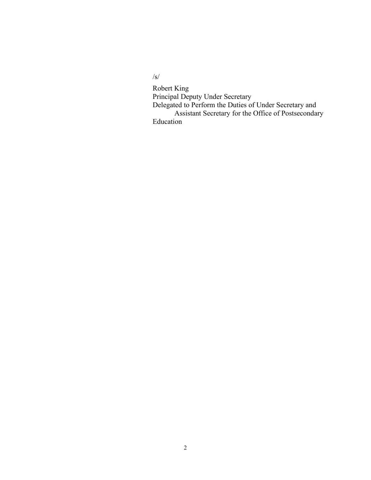/s/

Robert King Principal Deputy Under Secretary Delegated to Perform the Duties of Under Secretary and Assistant Secretary for the Office of Postsecondary Education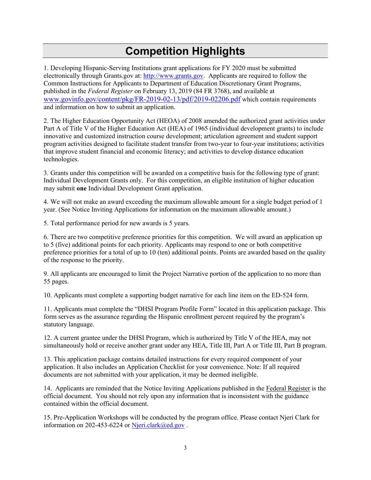## **Competition Highlights**

1. Developing Hispanic-Serving Institutions grant applications for FY 2020 must be submitted electronically through Grants.gov at: [http://www.grants.gov.](http://www.grants.gov/) Applicants are required to follow the Common Instructions for Applicants to Department of Education Discretionary Grant Programs, published in the *Federal Register* on February 13, 2019 (84 FR 3768), and available at [www.govinfo.gov/content/pkg/FR-2019-02-13/pdf/2019-02206.pdf](http://www.govinfo.gov/content/pkg/FR-2019-02-13/pdf/2019-02206.pdf) which contain requirements and information on how to submit an application.

2. The Higher Education Opportunity Act (HEOA) of 2008 amended the authorized grant activities under Part A of Title V of the Higher Education Act (HEA) of 1965 (individual development grants) to include innovative and customized instruction course development; articulation agreement and student support program activities designed to facilitate student transfer from two-year to four-year institutions; activities that improve student financial and economic literacy; and activities to develop distance education technologies.

3. Grants under this competition will be awarded on a competitive basis for the following type of grant: Individual Development Grants only. For this competition, an eligible institution of higher education may submit **one** Individual Development Grant application.

4. We will not make an award exceeding the maximum allowable amount for a single budget period of 1 year. (See Notice Inviting Applications for information on the maximum allowable amount.)

5. Total performance period for new awards is 5 years.

6. There are two competitive preference priorities for this competition. We will award an application up to 5 (five) additional points for each priority. Applicants may respond to one or both competitive preference priorities for a total of up to 10 (ten) additional points. Points are awarded based on the quality of the response to the priority.

9. All applicants are encouraged to limit the Project Narrative portion of the application to no more than 55 pages.

10. Applicants must complete a supporting budget narrative for each line item on the ED-524 form.

11. Applicants must complete the "DHSI Program Profile Form" located in this application package. This form serves as the assurance regarding the Hispanic enrollment percent required by the program's statutory language.

12. A current grantee under the DHSI Program, which is authorized by Title V of the HEA, may not simultaneously hold or receive another grant under any HEA, Title III, Part A or Title III, Part B program.

13. This application package contains detailed instructions for every required component of your application. It also includes an Application Checklist for your convenience. Note: If all required documents are not submitted with your application, it may be deemed ineligible.

14. Applicants are reminded that the Notice Inviting Applications published in the Federal Register is the official document. You should not rely upon any information that is inconsistent with the guidance contained within the official document.

15. Pre-Application Workshops will be conducted by the program office. Please contact Njeri Clark for information on 202-453-6224 or [Njeri.clark@ed.gov](mailto:Njeri.clark@ed.gov).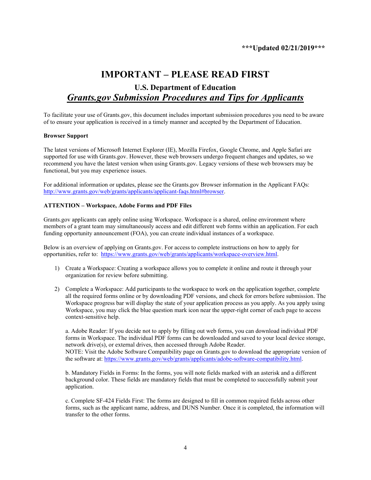### **IMPORTANT – PLEASE READ FIRST**

### **U.S. Department of Education** *Grants.gov Submission Procedures and Tips for Applicants*

To facilitate your use of Grants.gov, this document includes important submission procedures you need to be aware of to ensure your application is received in a timely manner and accepted by the Department of Education.

#### **Browser Support**

The latest versions of Microsoft Internet Explorer (IE), Mozilla Firefox, Google Chrome, and Apple Safari are supported for use with Grants.gov. However, these web browsers undergo frequent changes and updates, so we recommend you have the latest version when using Grants.gov. Legacy versions of these web browsers may be functional, but you may experience issues.

For additional information or updates, please see the Grants.gov Browser information in the Applicant FAQs: [http://www.grants.gov/web/grants/applicants/applicant-faqs.html#browser.](http://www.grants.gov/web/grants/applicants/applicant-faqs.html#browser)

#### **ATTENTION – Workspace, Adobe Forms and PDF Files**

Grants.gov applicants can apply online using Workspace. Workspace is a shared, online environment where members of a grant team may simultaneously access and edit different web forms within an application. For each funding opportunity announcement (FOA), you can create individual instances of a workspace.

Below is an overview of applying on Grants.gov. For access to complete instructions on how to apply for opportunities, refer to: [https://www.grants.gov/web/grants/applicants/workspace-overview.html.](https://www.grants.gov/web/grants/applicants/workspace-overview.html)

- 1) Create a Workspace: Creating a workspace allows you to complete it online and route it through your organization for review before submitting.
- 2) Complete a Workspace: Add participants to the workspace to work on the application together, complete all the required forms online or by downloading PDF versions, and check for errors before submission. The Workspace progress bar will display the state of your application process as you apply. As you apply using Workspace, you may click the blue question mark icon near the upper-right corner of each page to access context-sensitive help.

a. Adobe Reader: If you decide not to apply by filling out web forms, you can download individual PDF forms in Workspace. The individual PDF forms can be downloaded and saved to your local device storage, network drive(s), or external drives, then accessed through Adobe Reader. NOTE: Visit the Adobe Software Compatibility page on Grants.gov to download the appropriate version of the software at: [https://www.grants.gov/web/grants/applicants/adobe-software-compatibility.html.](https://www.grants.gov/web/grants/applicants/adobe-software-compatibility.html)

b. Mandatory Fields in Forms: In the forms, you will note fields marked with an asterisk and a different background color. These fields are mandatory fields that must be completed to successfully submit your application.

c. Complete SF-424 Fields First: The forms are designed to fill in common required fields across other forms, such as the applicant name, address, and DUNS Number. Once it is completed, the information will transfer to the other forms.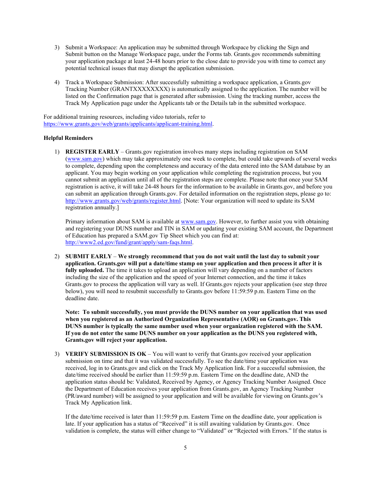- 3) Submit a Workspace: An application may be submitted through Workspace by clicking the Sign and Submit button on the Manage Workspace page, under the Forms tab. Grants.gov recommends submitting your application package at least 24-48 hours prior to the close date to provide you with time to correct any potential technical issues that may disrupt the application submission.
- 4) Track a Workspace Submission: After successfully submitting a workspace application, a Grants.gov Tracking Number (GRANTXXXXXXXX) is automatically assigned to the application. The number will be listed on the Confirmation page that is generated after submission. Using the tracking number, access the Track My Application page under the Applicants tab or the Details tab in the submitted workspace.

For additional training resources, including video tutorials, refer to [https://www.grants.gov/web/grants/applicants/applicant-training.html.](https://www.grants.gov/web/grants/applicants/applicant-training.html)

#### **Helpful Reminders**

1) **REGISTER EARLY** – Grants.gov registration involves many steps including registration on SAM [\(www.sam.gov\)](http://www.sam.gov/) which may take approximately one week to complete, but could take upwards of several weeks to complete, depending upon the completeness and accuracy of the data entered into the SAM database by an applicant. You may begin working on your application while completing the registration process, but you cannot submit an application until all of the registration steps are complete. Please note that once your SAM registration is active, it will take 24-48 hours for the information to be available in Grants.gov, and before you can submit an application through Grants.gov. For detailed information on the registration steps, please go to: [http://www.grants.gov/web/grants/register.html.](http://www.grants.gov/web/grants/register.html) [Note: Your organization will need to update its SAM registration annually.]

Primary information about SAM is available at [www.sam.gov.](http://www.sam.gov/) However, to further assist you with obtaining and registering your DUNS number and TIN in SAM or updating your existing SAM account, the Department of Education has prepared a SAM.gov Tip Sheet which you can find at: [http://www2.ed.gov/fund/grant/apply/sam-faqs.html.](http://www2.ed.gov/fund/grant/apply/sam-faqs.html)

2) **SUBMIT EARLY** – **We strongly recommend that you do not wait until the last day to submit your application. Grants.gov will put a date/time stamp on your application and then process it after it is fully uploaded.** The time it takes to upload an application will vary depending on a number of factors including the size of the application and the speed of your Internet connection, and the time it takes Grants.gov to process the application will vary as well. If Grants.gov rejects your application (see step three below), you will need to resubmit successfully to Grants.gov before 11:59:59 p.m. Eastern Time on the deadline date.

**Note: To submit successfully, you must provide the DUNS number on your application that was used when you registered as an Authorized Organization Representative (AOR) on Grants.gov. This DUNS number is typically the same number used when your organization registered with the SAM. If you do not enter the same DUNS number on your application as the DUNS you registered with, Grants.gov will reject your application.**

3) **VERIFY SUBMISSION IS OK** – You will want to verify that Grants.gov received your application submission on time and that it was validated successfully. To see the date/time your application was received, log in to Grants.gov and click on the Track My Application link. For a successful submission, the date/time received should be earlier than 11:59:59 p.m. Eastern Time on the deadline date, AND the application status should be: Validated, Received by Agency, or Agency Tracking Number Assigned. Once the Department of Education receives your application from Grants.gov, an Agency Tracking Number (PR/award number) will be assigned to your application and will be available for viewing on Grants.gov's Track My Application link.

If the date/time received is later than 11:59:59 p.m. Eastern Time on the deadline date, your application is late. If your application has a status of "Received" it is still awaiting validation by Grants.gov. Once validation is complete, the status will either change to "Validated" or "Rejected with Errors." If the status is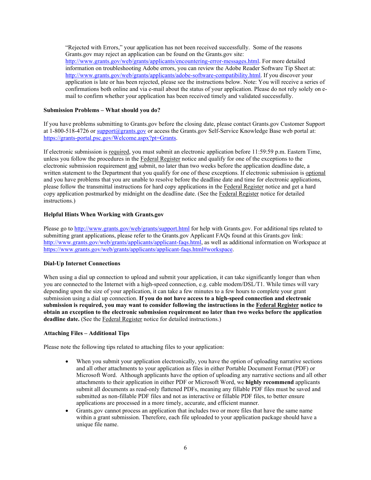"Rejected with Errors," your application has not been received successfully. Some of the reasons Grants.gov may reject an application can be found on the Grants.gov site: [http://www.grants.gov/web/grants/applicants/encountering-error-messages.html.](http://www.grants.gov/web/grants/applicants/encountering-error-messages.html) For more detailed information on troubleshooting Adobe errors, you can review the Adobe Reader Software Tip Sheet at: [http://www.grants.gov/web/grants/applicants/adobe-software-compatibility.html.](http://www.grants.gov/web/grants/applicants/adobe-software-compatibility.html) If you discover your application is late or has been rejected, please see the instructions below. Note: You will receive a series of confirmations both online and via e-mail about the status of your application. Please do not rely solely on email to confirm whether your application has been received timely and validated successfully.

#### **Submission Problems – What should you do?**

If you have problems submitting to Grants.gov before the closing date, please contact Grants.gov Customer Support at 1-800-518-4726 or [support@grants.gov](mailto:support@grants.gov) or access the Grants.gov Self-Service Knowledge Base web portal at: [https://grants-portal.psc.gov/Welcome.aspx?pt=Grants.](https://grants-portal.psc.gov/Welcome.aspx?pt=Grants)

If electronic submission is required, you must submit an electronic application before 11:59:59 p.m. Eastern Time, unless you follow the procedures in the Federal Register notice and qualify for one of the exceptions to the electronic submission requirement and submit, no later than two weeks before the application deadline date, a written statement to the Department that you qualify for one of these exceptions. If electronic submission is optional and you have problems that you are unable to resolve before the deadline date and time for electronic applications, please follow the transmittal instructions for hard copy applications in the Federal Register notice and get a hard copy application postmarked by midnight on the deadline date. (See the Federal Register notice for detailed instructions.)

#### **Helpful Hints When Working with Grants.gov**

Please go to<http://www.grants.gov/web/grants/support.html> for help with Grants.gov. For additional tips related to submitting grant applications, please refer to the Grants.gov Applicant FAQs found at this Grants.gov link: [http://www.grants.gov/web/grants/applicants/applicant-faqs.html,](http://www.grants.gov/web/grants/applicants/applicant-faqs.html) as well as additional information on Workspace at [https://www.grants.gov/web/grants/applicants/applicant-faqs.html#workspace.](https://www.grants.gov/web/grants/applicants/applicant-faqs.html#workspace)

#### **Dial-Up Internet Connections**

When using a dial up connection to upload and submit your application, it can take significantly longer than when you are connected to the Internet with a high-speed connection, e.g. cable modem/DSL/T1. While times will vary depending upon the size of your application, it can take a few minutes to a few hours to complete your grant submission using a dial up connection. **If you do not have access to a high-speed connection and electronic submission is required, you may want to consider following the instructions in the Federal Register notice to obtain an exception to the electronic submission requirement no later than two weeks before the application** deadline date. (See the Federal Register notice for detailed instructions.)

#### **Attaching Files – Additional Tips**

Please note the following tips related to attaching files to your application:

- When you submit your application electronically, you have the option of uploading narrative sections and all other attachments to your application as files in either Portable Document Format (PDF) or Microsoft Word. Although applicants have the option of uploading any narrative sections and all other attachments to their application in either PDF or Microsoft Word, we **highly recommend** applicants submit all documents as read-only flattened PDFs, meaning any fillable PDF files must be saved and submitted as non-fillable PDF files and not as interactive or fillable PDF files, to better ensure applications are processed in a more timely, accurate, and efficient manner.
- Grants.gov cannot process an application that includes two or more files that have the same name within a grant submission. Therefore, each file uploaded to your application package should have a unique file name.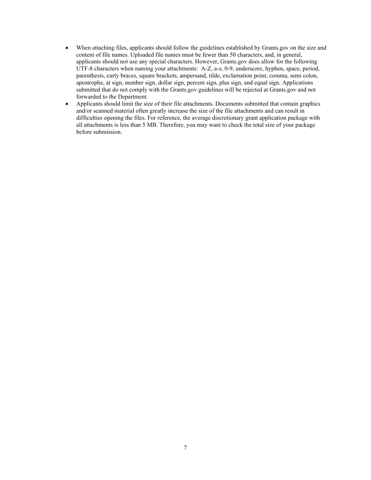- When attaching files, applicants should follow the guidelines established by Grants.gov on the size and content of file names. Uploaded file names must be fewer than 50 characters, and, in general, applicants should not use any special characters. However, Grants.gov does allow for the following UTF-8 characters when naming your attachments: A-Z, a-z, 0-9, underscore, hyphen, space, period, parenthesis, curly braces, square brackets, ampersand, tilde, exclamation point, comma, semi colon, apostrophe, at sign, number sign, dollar sign, percent sign, plus sign, and equal sign. Applications submitted that do not comply with the Grants.gov guidelines will be rejected at Grants.gov and not forwarded to the Department.
- Applicants should limit the size of their file attachments. Documents submitted that contain graphics and/or scanned material often greatly increase the size of the file attachments and can result in difficulties opening the files. For reference, the average discretionary grant application package with all attachments is less than 5 MB. Therefore, you may want to check the total size of your package before submission.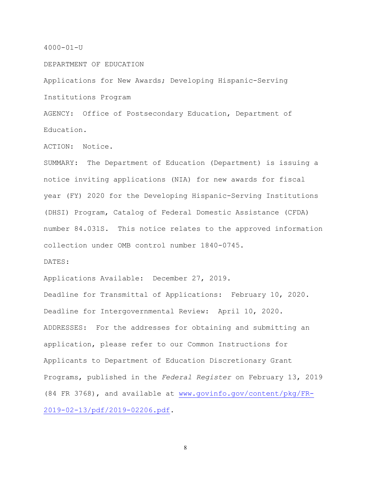#### 4000-01-U

DEPARTMENT OF EDUCATION

Applications for New Awards; Developing Hispanic-Serving Institutions Program

AGENCY: Office of Postsecondary Education, Department of Education.

ACTION: Notice.

SUMMARY: The Department of Education (Department) is issuing a notice inviting applications (NIA) for new awards for fiscal year (FY) 2020 for the Developing Hispanic-Serving Institutions (DHSI) Program, Catalog of Federal Domestic Assistance (CFDA) number 84.031S. This notice relates to the approved information collection under OMB control number 1840-0745.

DATES:

Applications Available: December 27, 2019.

Deadline for Transmittal of Applications: February 10, 2020. Deadline for Intergovernmental Review: April 10, 2020. ADDRESSES: For the addresses for obtaining and submitting an application, please refer to our Common Instructions for Applicants to Department of Education Discretionary Grant Programs, published in the *Federal Register* on February 13, 2019 (84 FR 3768), and available at www.govinfo.gov/content/pkg/FR-2019-02-13/pdf/2019-02206.pdf.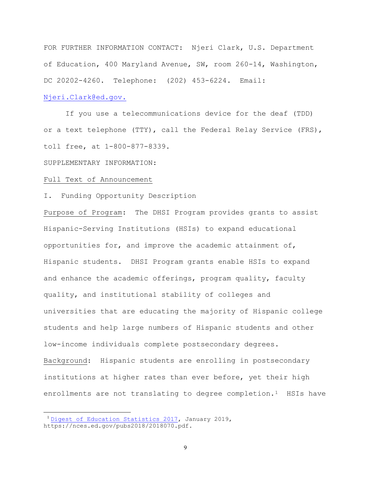FOR FURTHER INFORMATION CONTACT: Njeri Clark, U.S. Department of Education, 400 Maryland Avenue, SW, room 260-14, Washington, DC 20202-4260. Telephone: (202) 453-6224. Email:

#### [Njeri.Clark@ed.gov.](mailto:Njeri.Clark@ed.gov)

If you use a telecommunications device for the deaf (TDD) or a text telephone (TTY), call the Federal Relay Service (FRS), toll free, at 1-800-877-8339.

SUPPLEMENTARY INFORMATION:

#### Full Text of Announcement

I. Funding Opportunity Description

Purpose of Program: The DHSI Program provides grants to assist Hispanic-Serving Institutions (HSIs) to expand educational opportunities for, and improve the academic attainment of, Hispanic students. DHSI Program grants enable HSIs to expand and enhance the academic offerings, program quality, faculty quality, and institutional stability of colleges and universities that are educating the majority of Hispanic college students and help large numbers of Hispanic students and other low-income individuals complete postsecondary degrees. Background: Hispanic students are enrolling in postsecondary institutions at higher rates than ever before, yet their high enrollments are not translating to degree completion.<sup>1</sup> HSIs have

<span id="page-10-0"></span><sup>&</sup>lt;sup>1</sup>Digest of Education Statistics 2017, January 2019, https://nces.ed.gov/pubs2018/2018070.pdf.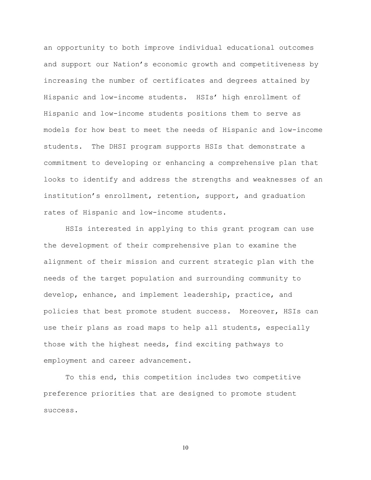an opportunity to both improve individual educational outcomes and support our Nation's economic growth and competitiveness by increasing the number of certificates and degrees attained by Hispanic and low-income students. HSIs' high enrollment of Hispanic and low-income students positions them to serve as models for how best to meet the needs of Hispanic and low-income students. The DHSI program supports HSIs that demonstrate a commitment to developing or enhancing a comprehensive plan that looks to identify and address the strengths and weaknesses of an institution's enrollment, retention, support, and graduation rates of Hispanic and low-income students.

HSIs interested in applying to this grant program can use the development of their comprehensive plan to examine the alignment of their mission and current strategic plan with the needs of the target population and surrounding community to develop, enhance, and implement leadership, practice, and policies that best promote student success. Moreover, HSIs can use their plans as road maps to help all students, especially those with the highest needs, find exciting pathways to employment and career advancement.

To this end, this competition includes two competitive preference priorities that are designed to promote student success.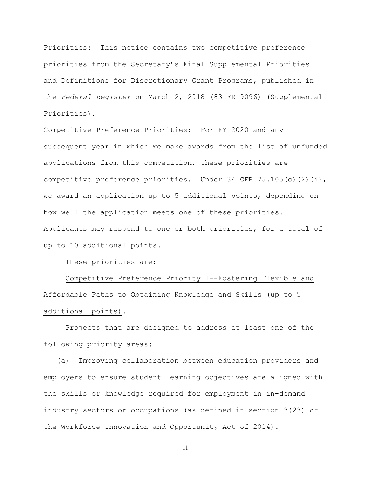Priorities: This notice contains two competitive preference priorities from the Secretary's Final Supplemental Priorities and Definitions for Discretionary Grant Programs, published in the *Federal Register* on March 2, 2018 (83 FR 9096) (Supplemental Priorities).

Competitive Preference Priorities: For FY 2020 and any subsequent year in which we make awards from the list of unfunded applications from this competition, these priorities are competitive preference priorities. Under 34 CFR 75.105(c)(2)(i), we award an application up to 5 additional points, depending on how well the application meets one of these priorities. Applicants may respond to one or both priorities, for a total of up to 10 additional points.

These priorities are:

 Competitive Preference Priority 1--Fostering Flexible and Affordable Paths to Obtaining Knowledge and Skills (up to 5 additional points).

 Projects that are designed to address at least one of the following priority areas:

 (a) Improving collaboration between education providers and employers to ensure student learning objectives are aligned with the skills or knowledge required for employment in in-demand industry sectors or occupations (as defined in section 3(23) of the Workforce Innovation and Opportunity Act of 2014).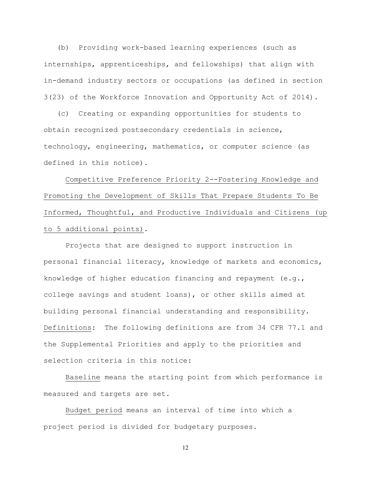(b) Providing work-based learning experiences (such as internships, apprenticeships, and fellowships) that align with in-demand industry sectors or occupations (as defined in section 3(23) of the Workforce Innovation and Opportunity Act of 2014).

 (c) Creating or expanding opportunities for students to obtain recognized postsecondary credentials in science, technology, engineering, mathematics, or computer science (as defined in this notice).

 Competitive Preference Priority 2--Fostering Knowledge and Promoting the Development of Skills That Prepare Students To Be Informed, Thoughtful, and Productive Individuals and Citizens (up to 5 additional points).

 Projects that are designed to support instruction in personal financial literacy, knowledge of markets and economics, knowledge of higher education financing and repayment  $(e,q,$ college savings and student loans), or other skills aimed at building personal financial understanding and responsibility. Definitions: The following definitions are from 34 CFR 77.1 and the Supplemental Priorities and apply to the priorities and selection criteria in this notice:

Baseline means the starting point from which performance is measured and targets are set.

Budget period means an interval of time into which a project period is divided for budgetary purposes.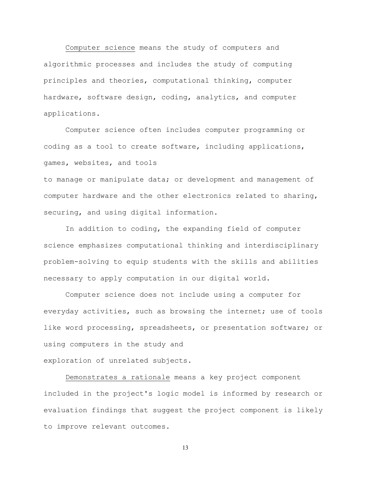Computer science means the study of computers and algorithmic processes and includes the study of computing principles and theories, computational thinking, computer hardware, software design, coding, analytics, and computer applications.

Computer science often includes computer programming or coding as a tool to create software, including applications, games, websites, and tools

to manage or manipulate data; or development and management of computer hardware and the other electronics related to sharing, securing, and using digital information.

In addition to coding, the expanding field of computer science emphasizes computational thinking and interdisciplinary problem-solving to equip students with the skills and abilities necessary to apply computation in our digital world.

Computer science does not include using a computer for everyday activities, such as browsing the internet; use of tools like word processing, spreadsheets, or presentation software; or using computers in the study and

exploration of unrelated subjects.

Demonstrates a rationale means a key project component included in the project's logic model is informed by research or evaluation findings that suggest the project component is likely to improve relevant outcomes.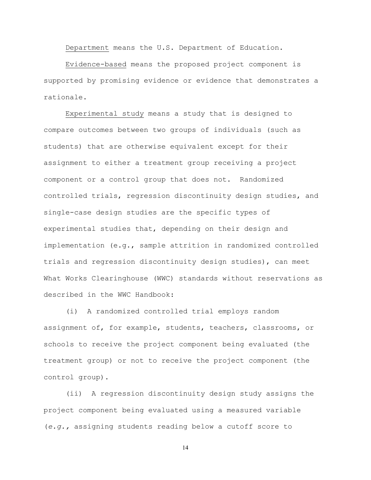Department means the U.S. Department of Education.

Evidence-based means the proposed project component is supported by promising evidence or evidence that demonstrates a rationale.

Experimental study means a study that is designed to compare outcomes between two groups of individuals (such as students) that are otherwise equivalent except for their assignment to either a treatment group receiving a project component or a control group that does not. Randomized controlled trials, regression discontinuity design studies, and single-case design studies are the specific types of experimental studies that, depending on their design and implementation (e.g., sample attrition in randomized controlled trials and regression discontinuity design studies), can meet What Works Clearinghouse (WWC) standards without reservations as described in the WWC Handbook:

(i) A randomized controlled trial employs random assignment of, for example, students, teachers, classrooms, or schools to receive the project component being evaluated (the treatment group) or not to receive the project component (the control group).

(ii) A regression discontinuity design study assigns the project component being evaluated using a measured variable (*e.g.,* assigning students reading below a cutoff score to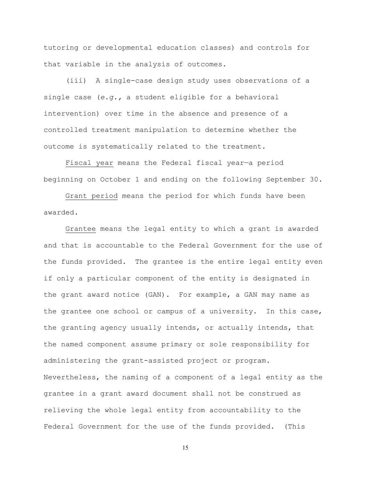tutoring or developmental education classes) and controls for that variable in the analysis of outcomes.

(iii) A single-case design study uses observations of a single case (*e.g.,* a student eligible for a behavioral intervention) over time in the absence and presence of a controlled treatment manipulation to determine whether the outcome is systematically related to the treatment.

Fiscal year means the Federal fiscal year—a period beginning on October 1 and ending on the following September 30.

Grant period means the period for which funds have been awarded.

Grantee means the legal entity to which a grant is awarded and that is accountable to the Federal Government for the use of the funds provided. The grantee is the entire legal entity even if only a particular component of the entity is designated in the grant award notice (GAN). For example, a GAN may name as the grantee one school or campus of a university. In this case, the granting agency usually intends, or actually intends, that the named component assume primary or sole responsibility for administering the grant-assisted project or program. Nevertheless, the naming of a component of a legal entity as the grantee in a grant award document shall not be construed as relieving the whole legal entity from accountability to the Federal Government for the use of the funds provided. (This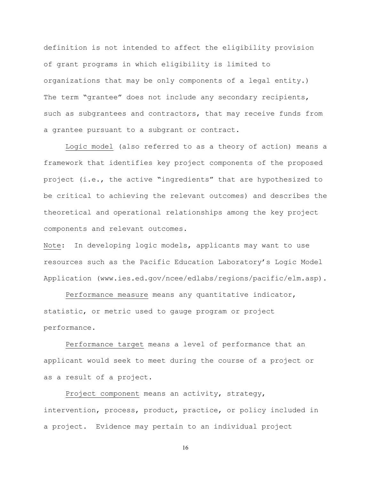definition is not intended to affect the eligibility provision of grant programs in which eligibility is limited to organizations that may be only components of a legal entity.) The term "grantee" does not include any secondary recipients, such as subgrantees and contractors, that may receive funds from a grantee pursuant to a subgrant or contract.

Logic model (also referred to as a theory of action) means a framework that identifies key project components of the proposed project (i.e., the active "ingredients" that are hypothesized to be critical to achieving the relevant outcomes) and describes the theoretical and operational relationships among the key project components and relevant outcomes.

Note: In developing logic models, applicants may want to use resources such as the Pacific Education Laboratory's Logic Model Application (www.ies.ed.gov/ncee/edlabs/regions/pacific/elm.asp).

Performance measure means any quantitative indicator, statistic, or metric used to gauge program or project performance.

Performance target means a level of performance that an applicant would seek to meet during the course of a project or as a result of a project.

Project component means an activity, strategy, intervention, process, product, practice, or policy included in a project. Evidence may pertain to an individual project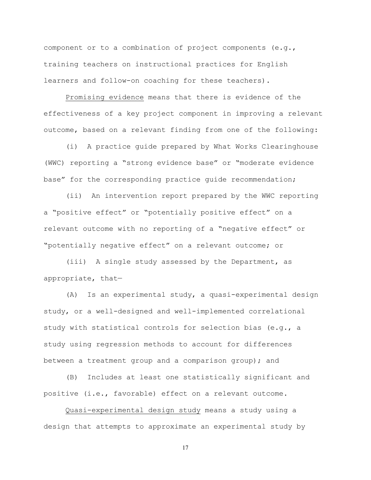component or to a combination of project components (e.g., training teachers on instructional practices for English learners and follow-on coaching for these teachers).

Promising evidence means that there is evidence of the effectiveness of a key project component in improving a relevant outcome, based on a relevant finding from one of the following:

(i) A practice guide prepared by What Works Clearinghouse (WWC) reporting a "strong evidence base" or "moderate evidence base" for the corresponding practice guide recommendation;

(ii) An intervention report prepared by the WWC reporting a "positive effect" or "potentially positive effect" on a relevant outcome with no reporting of a "negative effect" or "potentially negative effect" on a relevant outcome; or

(iii) A single study assessed by the Department, as appropriate, that—

(A) Is an experimental study, a quasi-experimental design study, or a well-designed and well-implemented correlational study with statistical controls for selection bias (e.g., a study using regression methods to account for differences between a treatment group and a comparison group); and

(B) Includes at least one statistically significant and positive (i.e., favorable) effect on a relevant outcome.

Quasi-experimental design study means a study using a design that attempts to approximate an experimental study by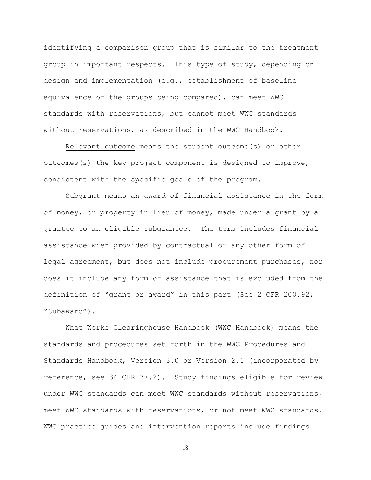identifying a comparison group that is similar to the treatment group in important respects. This type of study, depending on design and implementation (e.g., establishment of baseline equivalence of the groups being compared), can meet WWC standards with reservations, but cannot meet WWC standards without reservations, as described in the WWC Handbook.

Relevant outcome means the student outcome(s) or other outcomes(s) the key project component is designed to improve, consistent with the specific goals of the program.

Subgrant means an award of financial assistance in the form of money, or property in lieu of money, made under a grant by a grantee to an eligible subgrantee. The term includes financial assistance when provided by contractual or any other form of legal agreement, but does not include procurement purchases, nor does it include any form of assistance that is excluded from the definition of "grant or award" in this part (See 2 CFR 200.92, "Subaward").

What Works Clearinghouse Handbook (WWC Handbook) means the standards and procedures set forth in the WWC Procedures and Standards Handbook, Version 3.0 or Version 2.1 (incorporated by reference, see 34 CFR 77.2). Study findings eligible for review under WWC standards can meet WWC standards without reservations, meet WWC standards with reservations, or not meet WWC standards. WWC practice guides and intervention reports include findings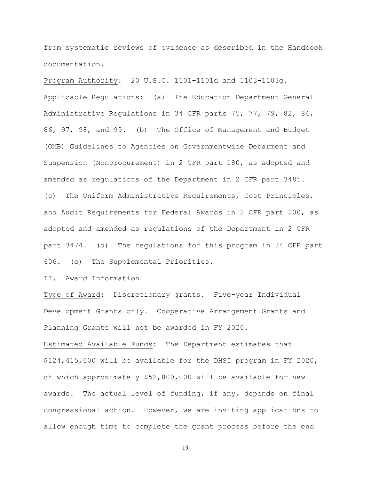from systematic reviews of evidence as described in the Handbook documentation.

Program Authority: 20 U.S.C. 1101-1101d and 1103-1103g. Applicable Regulations: (a) The Education Department General Administrative Regulations in 34 CFR parts 75, 77, 79, 82, 84, 86, 97, 98, and 99. (b) The Office of Management and Budget (OMB) Guidelines to Agencies on Governmentwide Debarment and Suspension (Nonprocurement) in 2 CFR part 180, as adopted and amended as regulations of the Department in 2 CFR part 3485. (c) The Uniform Administrative Requirements, Cost Principles, and Audit Requirements for Federal Awards in 2 CFR part 200, as adopted and amended as regulations of the Department in 2 CFR part 3474. (d) The regulations for this program in 34 CFR part 606. (e) The Supplemental Priorities.

II. Award Information

Type of Award: Discretionary grants. Five-year Individual Development Grants only. Cooperative Arrangement Grants and Planning Grants will not be awarded in FY 2020.

Estimated Available Funds: The Department estimates that \$124,415,000 will be available for the DHSI program in FY 2020, of which approximately \$52,800,000 will be available for new awards. The actual level of funding, if any, depends on final congressional action. However, we are inviting applications to allow enough time to complete the grant process before the end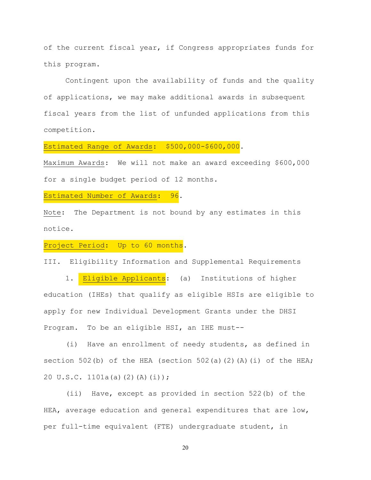of the current fiscal year, if Congress appropriates funds for this program.

Contingent upon the availability of funds and the quality of applications, we may make additional awards in subsequent fiscal years from the list of unfunded applications from this competition.

Estimated Range of Awards: \$500,000-\$600,000.

Maximum Awards: We will not make an award exceeding \$600,000 for a single budget period of 12 months.

Estimated Number of Awards: 96.

Note: The Department is not bound by any estimates in this notice.

Project Period: Up to 60 months.

III. Eligibility Information and Supplemental Requirements

1. Eligible Applicants: (a) Institutions of higher education (IHEs) that qualify as eligible HSIs are eligible to apply for new Individual Development Grants under the DHSI Program. To be an eligible HSI, an IHE must--

(i) Have an enrollment of needy students, as defined in section 502(b) of the HEA (section 502(a)(2)(A)(i) of the HEA; 20 U.S.C. 1101a(a)(2)(A)(i));

(ii) Have, except as provided in section 522(b) of the HEA, average education and general expenditures that are low, per full-time equivalent (FTE) undergraduate student, in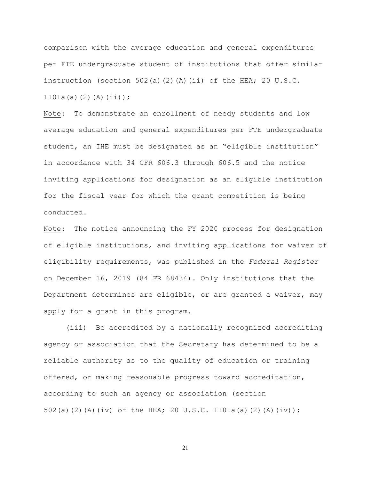comparison with the average education and general expenditures per FTE undergraduate student of institutions that offer similar instruction (section 502(a)(2)(A)(ii) of the HEA; 20 U.S.C. 1101a(a)(2)(A)(ii));

Note:To demonstrate an enrollment of needy students and low average education and general expenditures per FTE undergraduate student, an IHE must be designated as an "eligible institution" in accordance with 34 CFR 606.3 through 606.5 and the notice inviting applications for designation as an eligible institution for the fiscal year for which the grant competition is being conducted.

Note: The notice announcing the FY 2020 process for designation of eligible institutions, and inviting applications for waiver of eligibility requirements, was published in the *Federal Register* on December 16, 2019 (84 FR 68434). Only institutions that the Department determines are eligible, or are granted a waiver, may apply for a grant in this program.

(iii) Be accredited by a nationally recognized accrediting agency or association that the Secretary has determined to be a reliable authority as to the quality of education or training offered, or making reasonable progress toward accreditation, according to such an agency or association (section 502(a)(2)(A)(iv) of the HEA; 20 U.S.C. 1101a(a)(2)(A)(iv));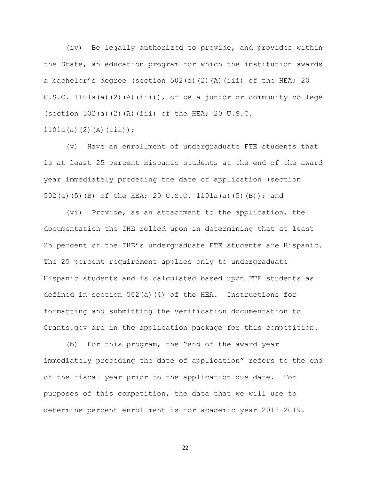(iv) Be legally authorized to provide, and provides within the State, an education program for which the institution awards a bachelor's degree (section 502(a)(2)(A)(iii) of the HEA; 20 U.S.C. 1101a(a)(2)(A)(iii)), or be a junior or community college (section  $502(a)(2)(A)(iii)$  of the HEA; 20 U.S.C. 1101a(a)(2)(A)(iii));

(v) Have an enrollment of undergraduate FTE students that is at least 25 percent Hispanic students at the end of the award year immediately preceding the date of application (section 502(a)(5)(B) of the HEA; 20 U.S.C. 1101a(a)(5)(B)); and

(vi) Provide, as an attachment to the application, the documentation the IHE relied upon in determining that at least 25 percent of the IHE's undergraduate FTE students are Hispanic. The 25 percent requirement applies only to undergraduate Hispanic students and is calculated based upon FTE students as defined in section 502(a)(4) of the HEA. Instructions for formatting and submitting the verification documentation to Grants.gov are in the application package for this competition.

(b)For this program, the "end of the award year immediately preceding the date of application" refers to the end of the fiscal year prior to the application due date. For purposes of this competition, the data that we will use to determine percent enrollment is for academic year 2018-2019.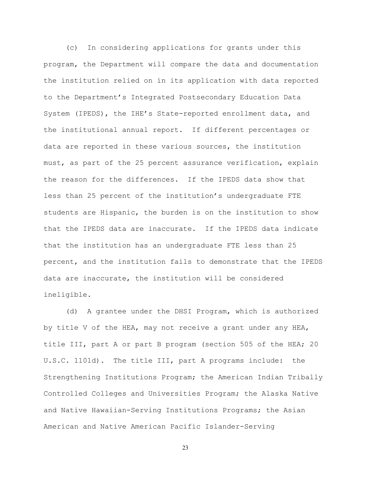(c)In considering applications for grants under this program, the Department will compare the data and documentation the institution relied on in its application with data reported to the Department's Integrated Postsecondary Education Data System (IPEDS), the IHE's State-reported enrollment data, and the institutional annual report. If different percentages or data are reported in these various sources, the institution must, as part of the 25 percent assurance verification, explain the reason for the differences. If the IPEDS data show that less than 25 percent of the institution's undergraduate FTE students are Hispanic, the burden is on the institution to show that the IPEDS data are inaccurate. If the IPEDS data indicate that the institution has an undergraduate FTE less than 25 percent, and the institution fails to demonstrate that the IPEDS data are inaccurate, the institution will be considered ineligible.

(d) A grantee under the DHSI Program, which is authorized by title V of the HEA, may not receive a grant under any HEA, title III, part A or part B program (section 505 of the HEA; 20 U.S.C. 1101d). The title III, part A programs include: the Strengthening Institutions Program; the American Indian Tribally Controlled Colleges and Universities Program; the Alaska Native and Native Hawaiian-Serving Institutions Programs; the Asian American and Native American Pacific Islander-Serving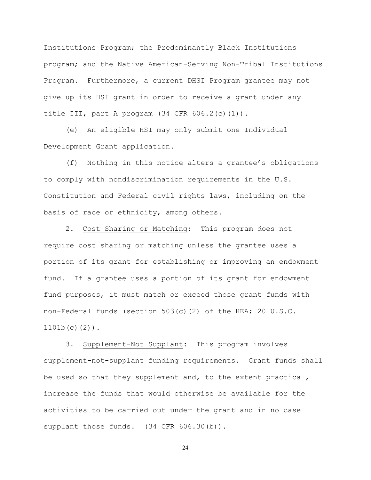Institutions Program; the Predominantly Black Institutions program; and the Native American-Serving Non-Tribal Institutions Program. Furthermore, a current DHSI Program grantee may not give up its HSI grant in order to receive a grant under any title III, part A program (34 CFR 606.2(c)(1)).

(e) An eligible HSI may only submit one Individual Development Grant application.

(f) Nothing in this notice alters a grantee's obligations to comply with nondiscrimination requirements in the U.S. Constitution and Federal civil rights laws, including on the basis of race or ethnicity, among others.

2. Cost Sharing or Matching: This program does not require cost sharing or matching unless the grantee uses a portion of its grant for establishing or improving an endowment fund. If a grantee uses a portion of its grant for endowment fund purposes, it must match or exceed those grant funds with non-Federal funds (section 503(c)(2) of the HEA; 20 U.S.C.  $1101b(c)(2)$ .

3. Supplement-Not Supplant: This program involves supplement-not-supplant funding requirements. Grant funds shall be used so that they supplement and, to the extent practical, increase the funds that would otherwise be available for the activities to be carried out under the grant and in no case supplant those funds. (34 CFR 606.30(b)).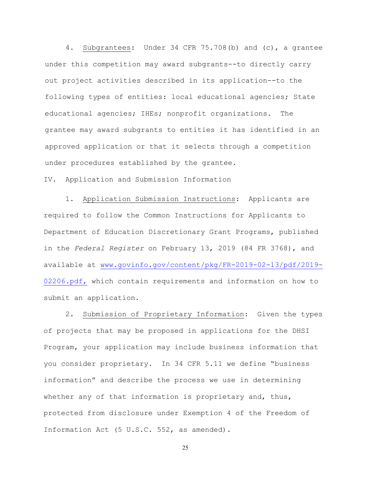4. Subgrantees: Under 34 CFR 75.708(b) and (c), a grantee under this competition may award subgrants--to directly carry out project activities described in its application--to the following types of entities: local educational agencies; State educational agencies; IHEs; nonprofit organizations. The grantee may award subgrants to entities it has identified in an approved application or that it selects through a competition under procedures established by the grantee.

IV. Application and Submission Information

1. Application Submission Instructions: Applicants are required to follow the Common Instructions for Applicants to Department of Education Discretionary Grant Programs, published in the *Federal Register* on February 13, 2019 (84 FR 3768), and available at www.govinfo.gov/content/pkg/FR-2019-02-13/pdf/2019- 02206.pdf, which contain requirements and information on how to submit an application.

2. Submission of Proprietary Information: Given the types of projects that may be proposed in applications for the DHSI Program, your application may include business information that you consider proprietary. In 34 CFR 5.11 we define "business information" and describe the process we use in determining whether any of that information is proprietary and, thus, protected from disclosure under Exemption 4 of the Freedom of Information Act (5 U.S.C. 552, as amended).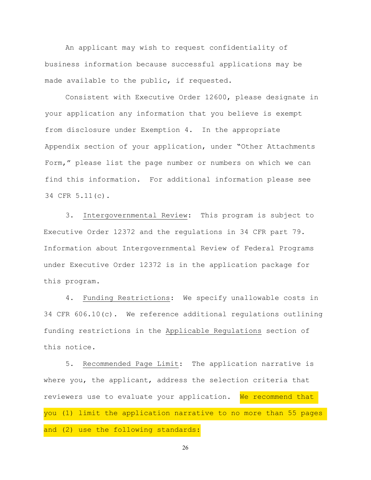An applicant may wish to request confidentiality of business information because successful applications may be made available to the public, if requested.

Consistent with Executive Order 12600, please designate in your application any information that you believe is exempt from disclosure under Exemption 4. In the appropriate Appendix section of your application, under "Other Attachments Form," please list the page number or numbers on which we can find this information. For additional information please see 34 CFR 5.11(c).

3. Intergovernmental Review: This program is subject to Executive Order 12372 and the regulations in 34 CFR part 79. Information about Intergovernmental Review of Federal Programs under Executive Order 12372 is in the application package for this program.

4. Funding Restrictions: We specify unallowable costs in 34 CFR 606.10(c). We reference additional regulations outlining funding restrictions in the Applicable Regulations section of this notice.

5. Recommended Page Limit: The application narrative is where you, the applicant, address the selection criteria that reviewers use to evaluate your application. We recommend that you (1) limit the application narrative to no more than 55 pages and (2) use the following standards: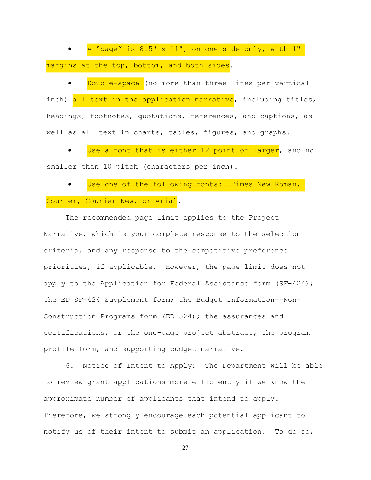A "page" is 8.5" x 11", on one side only, with 1" margins at the top, bottom, and both sides.

Double-space (no more than three lines per vertical inch) all text in the application narrative, including titles, headings, footnotes, quotations, references, and captions, as well as all text in charts, tables, figures, and graphs.

Use a font that is either 12 point or larger, and no smaller than 10 pitch (characters per inch).

Use one of the following fonts: Times New Roman,

Courier, Courier New, or Arial.

The recommended page limit applies to the Project Narrative, which is your complete response to the selection criteria, and any response to the competitive preference priorities, if applicable. However, the page limit does not apply to the Application for Federal Assistance form (SF-424); the ED SF-424 Supplement form; the Budget Information--Non-Construction Programs form (ED 524); the assurances and certifications; or the one-page project abstract, the program profile form, and supporting budget narrative.

 6. Notice of Intent to Apply: The Department will be able to review grant applications more efficiently if we know the approximate number of applicants that intend to apply. Therefore, we strongly encourage each potential applicant to notify us of their intent to submit an application. To do so,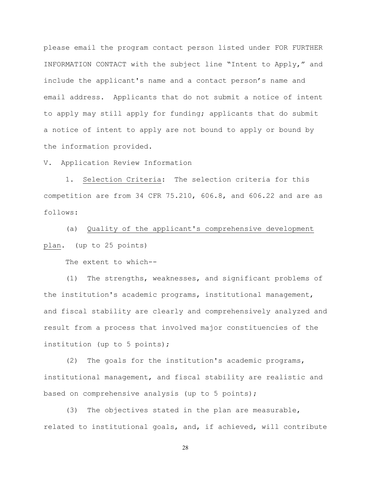please email the program contact person listed under FOR FURTHER INFORMATION CONTACT with the subject line "Intent to Apply," and include the applicant's name and a contact person's name and email address. Applicants that do not submit a notice of intent to apply may still apply for funding; applicants that do submit a notice of intent to apply are not bound to apply or bound by the information provided.

V. Application Review Information

1. Selection Criteria: The selection criteria for this competition are from 34 CFR 75.210, 606.8, and 606.22 and are as follows:

(a) Quality of the applicant's comprehensive development plan. (up to 25 points)

The extent to which--

(1) The strengths, weaknesses, and significant problems of the institution's academic programs, institutional management, and fiscal stability are clearly and comprehensively analyzed and result from a process that involved major constituencies of the institution (up to 5 points);

(2) The goals for the institution's academic programs, institutional management, and fiscal stability are realistic and based on comprehensive analysis (up to 5 points);

(3) The objectives stated in the plan are measurable, related to institutional goals, and, if achieved, will contribute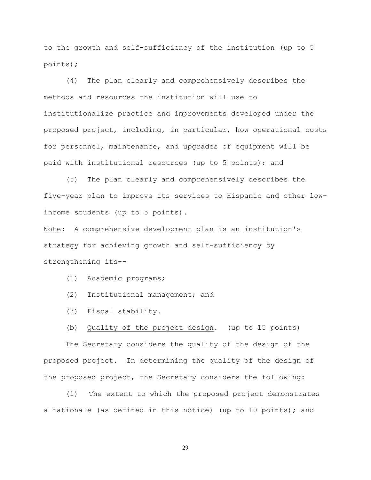to the growth and self-sufficiency of the institution (up to 5 points);

(4) The plan clearly and comprehensively describes the methods and resources the institution will use to institutionalize practice and improvements developed under the proposed project, including, in particular, how operational costs for personnel, maintenance, and upgrades of equipment will be paid with institutional resources (up to 5 points); and

(5) The plan clearly and comprehensively describes the five-year plan to improve its services to Hispanic and other lowincome students (up to 5 points).

Note: A comprehensive development plan is an institution's strategy for achieving growth and self-sufficiency by strengthening its--

- (1) Academic programs;
- (2) Institutional management; and
- (3) Fiscal stability.
- (b) Quality of the project design. (up to 15 points)

The Secretary considers the quality of the design of the proposed project. In determining the quality of the design of the proposed project, the Secretary considers the following:

(1) The extent to which the proposed project demonstrates a rationale (as defined in this notice) (up to 10 points); and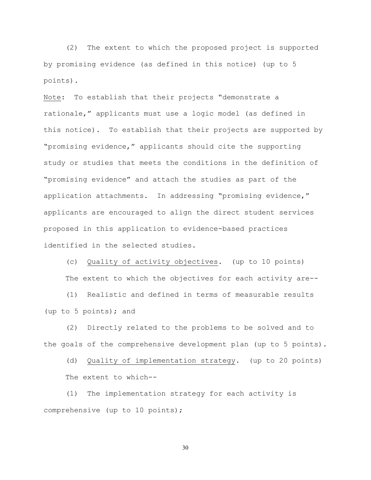(2) The extent to which the proposed project is supported by promising evidence (as defined in this notice) (up to 5 points).

Note: To establish that their projects "demonstrate a rationale," applicants must use a logic model (as defined in this notice). To establish that their projects are supported by "promising evidence," applicants should cite the supporting study or studies that meets the conditions in the definition of "promising evidence" and attach the studies as part of the application attachments. In addressing "promising evidence," applicants are encouraged to align the direct student services proposed in this application to evidence-based practices identified in the selected studies.

(c) Quality of activity objectives. (up to 10 points) The extent to which the objectives for each activity are--

(1) Realistic and defined in terms of measurable results (up to 5 points); and

(2) Directly related to the problems to be solved and to the goals of the comprehensive development plan (up to 5 points).

(d) Quality of implementation strategy*.* (up to 20 points) The extent to which--

(1) The implementation strategy for each activity is comprehensive (up to 10 points);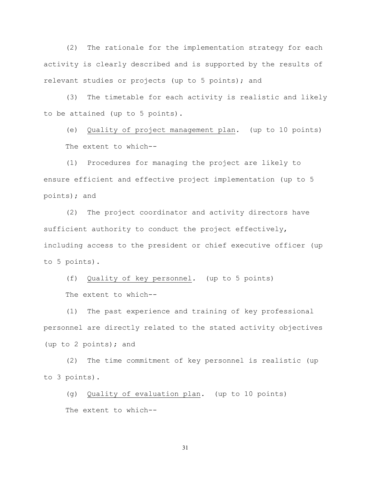(2) The rationale for the implementation strategy for each activity is clearly described and is supported by the results of relevant studies or projects (up to 5 points); and

(3) The timetable for each activity is realistic and likely to be attained (up to 5 points).

(e) Quality of project management plan*.* (up to 10 points) The extent to which--

(1) Procedures for managing the project are likely to ensure efficient and effective project implementation (up to 5 points); and

(2) The project coordinator and activity directors have sufficient authority to conduct the project effectively, including access to the president or chief executive officer (up to 5 points).

(f) Quality of key personnel*.* (up to 5 points) The extent to which--

(1) The past experience and training of key professional personnel are directly related to the stated activity objectives (up to 2 points); and

(2) The time commitment of key personnel is realistic (up to 3 points).

(g) Quality of evaluation plan*.* (up to 10 points) The extent to which--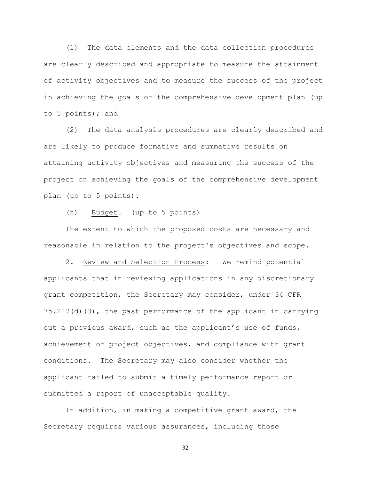(1) The data elements and the data collection procedures are clearly described and appropriate to measure the attainment of activity objectives and to measure the success of the project in achieving the goals of the comprehensive development plan (up to 5 points); and

(2) The data analysis procedures are clearly described and are likely to produce formative and summative results on attaining activity objectives and measuring the success of the project on achieving the goals of the comprehensive development plan (up to 5 points).

(h) Budget*.* (up to 5 points)

The extent to which the proposed costs are necessary and reasonable in relation to the project's objectives and scope.

2. Review and Selection Process: We remind potential applicants that in reviewing applications in any discretionary grant competition, the Secretary may consider, under 34 CFR 75.217(d)(3), the past performance of the applicant in carrying out a previous award, such as the applicant's use of funds, achievement of project objectives, and compliance with grant conditions. The Secretary may also consider whether the applicant failed to submit a timely performance report or submitted a report of unacceptable quality.

In addition, in making a competitive grant award, the Secretary requires various assurances, including those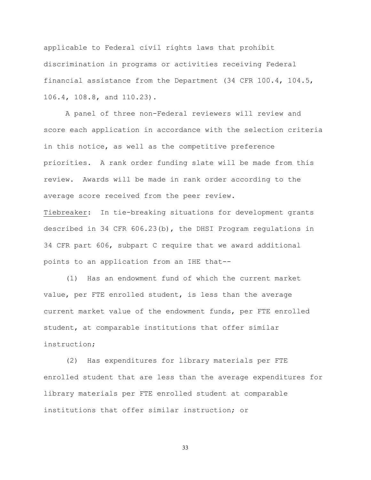applicable to Federal civil rights laws that prohibit discrimination in programs or activities receiving Federal financial assistance from the Department (34 CFR 100.4, 104.5, 106.4, 108.8, and 110.23).

A panel of three non-Federal reviewers will review and score each application in accordance with the selection criteria in this notice, as well as the competitive preference priorities. A rank order funding slate will be made from this review. Awards will be made in rank order according to the average score received from the peer review.

Tiebreaker: In tie-breaking situations for development grants described in 34 CFR 606.23(b), the DHSI Program regulations in 34 CFR part 606, subpart C require that we award additional points to an application from an IHE that--

(1) Has an endowment fund of which the current market value, per FTE enrolled student, is less than the average current market value of the endowment funds, per FTE enrolled student, at comparable institutions that offer similar instruction;

(2) Has expenditures for library materials per FTE enrolled student that are less than the average expenditures for library materials per FTE enrolled student at comparable institutions that offer similar instruction; or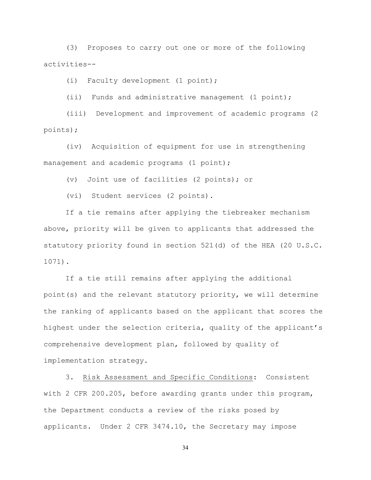(3) Proposes to carry out one or more of the following activities--

(i) Faculty development (1 point);

(ii) Funds and administrative management (1 point);

(iii) Development and improvement of academic programs (2 points);

(iv) Acquisition of equipment for use in strengthening management and academic programs (1 point);

(v) Joint use of facilities (2 points); or

(vi) Student services (2 points).

If a tie remains after applying the tiebreaker mechanism above, priority will be given to applicants that addressed the statutory priority found in section 521(d) of the HEA (20 U.S.C. 1071).

If a tie still remains after applying the additional point(s) and the relevant statutory priority, we will determine the ranking of applicants based on the applicant that scores the highest under the selection criteria, quality of the applicant's comprehensive development plan, followed by quality of implementation strategy.

3. Risk Assessment and Specific Conditions: Consistent with 2 CFR 200.205, before awarding grants under this program, the Department conducts a review of the risks posed by applicants. Under 2 CFR 3474.10, the Secretary may impose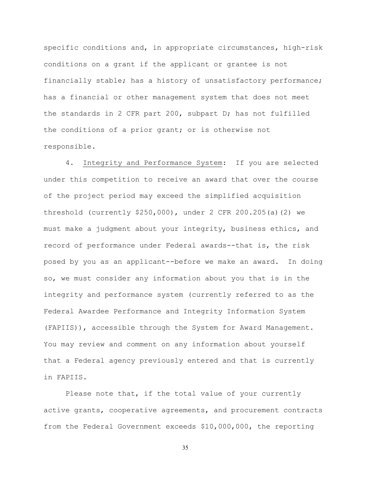specific conditions and, in appropriate circumstances, high-risk conditions on a grant if the applicant or grantee is not financially stable; has a history of unsatisfactory performance; has a financial or other management system that does not meet the standards in 2 CFR part 200, subpart D; has not fulfilled the conditions of a prior grant; or is otherwise not responsible.

4. Integrity and Performance System: If you are selected under this competition to receive an award that over the course of the project period may exceed the simplified acquisition threshold (currently \$250,000), under 2 CFR 200.205(a)(2) we must make a judgment about your integrity, business ethics, and record of performance under Federal awards--that is, the risk posed by you as an applicant--before we make an award. In doing so, we must consider any information about you that is in the integrity and performance system (currently referred to as the Federal Awardee Performance and Integrity Information System (FAPIIS)), accessible through the System for Award Management. You may review and comment on any information about yourself that a Federal agency previously entered and that is currently in FAPIIS.

Please note that, if the total value of your currently active grants, cooperative agreements, and procurement contracts from the Federal Government exceeds \$10,000,000, the reporting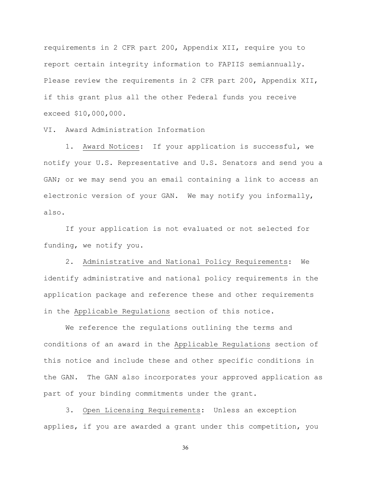requirements in 2 CFR part 200, Appendix XII, require you to report certain integrity information to FAPIIS semiannually. Please review the requirements in 2 CFR part 200, Appendix XII, if this grant plus all the other Federal funds you receive exceed \$10,000,000.

VI. Award Administration Information

1. Award Notices: If your application is successful, we notify your U.S. Representative and U.S. Senators and send you a GAN; or we may send you an email containing a link to access an electronic version of your GAN. We may notify you informally, also.

If your application is not evaluated or not selected for funding, we notify you.

2. Administrative and National Policy Requirements: We identify administrative and national policy requirements in the application package and reference these and other requirements in the Applicable Regulations section of this notice.

We reference the regulations outlining the terms and conditions of an award in the Applicable Regulations section of this notice and include these and other specific conditions in the GAN. The GAN also incorporates your approved application as part of your binding commitments under the grant.

3. Open Licensing Requirements: Unless an exception applies, if you are awarded a grant under this competition, you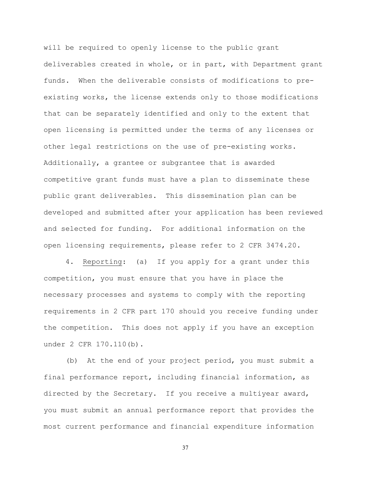will be required to openly license to the public grant deliverables created in whole, or in part, with Department grant funds. When the deliverable consists of modifications to preexisting works, the license extends only to those modifications that can be separately identified and only to the extent that open licensing is permitted under the terms of any licenses or other legal restrictions on the use of pre-existing works. Additionally, a grantee or subgrantee that is awarded competitive grant funds must have a plan to disseminate these public grant deliverables. This dissemination plan can be developed and submitted after your application has been reviewed and selected for funding. For additional information on the open licensing requirements, please refer to 2 CFR 3474.20.

4. Reporting: (a) If you apply for a grant under this competition, you must ensure that you have in place the necessary processes and systems to comply with the reporting requirements in 2 CFR part 170 should you receive funding under the competition. This does not apply if you have an exception under 2 CFR 170.110(b).

(b) At the end of your project period, you must submit a final performance report, including financial information, as directed by the Secretary. If you receive a multiyear award, you must submit an annual performance report that provides the most current performance and financial expenditure information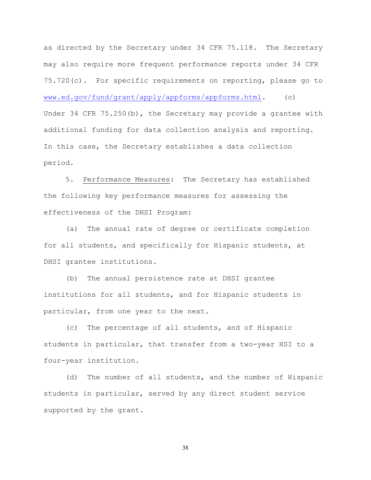as directed by the Secretary under 34 CFR 75.118. The Secretary may also require more frequent performance reports under 34 CFR 75.720(c). For specific requirements on reporting, please go to [www.ed.gov/fund/grant/apply/appforms/appforms.html.](http://www.ed.gov/fund/grant/apply/appforms/appforms.html) (c) Under 34 CFR 75.250(b), the Secretary may provide a grantee with additional funding for data collection analysis and reporting. In this case, the Secretary establishes a data collection period.

5. Performance Measures: The Secretary has established the following key performance measures for assessing the effectiveness of the DHSI Program:

(a) The annual rate of degree or certificate completion for all students, and specifically for Hispanic students, at DHSI grantee institutions.

(b) The annual persistence rate at DHSI grantee institutions for all students, and for Hispanic students in particular, from one year to the next.

(c) The percentage of all students, and of Hispanic students in particular, that transfer from a two-year HSI to a four-year institution.

(d) The number of all students, and the number of Hispanic students in particular, served by any direct student service supported by the grant.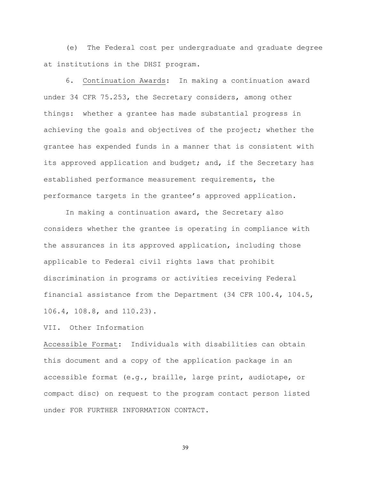(e) The Federal cost per undergraduate and graduate degree at institutions in the DHSI program.

6. Continuation Awards: In making a continuation award under 34 CFR 75.253, the Secretary considers, among other things: whether a grantee has made substantial progress in achieving the goals and objectives of the project; whether the grantee has expended funds in a manner that is consistent with its approved application and budget; and, if the Secretary has established performance measurement requirements, the performance targets in the grantee's approved application.

In making a continuation award, the Secretary also considers whether the grantee is operating in compliance with the assurances in its approved application, including those applicable to Federal civil rights laws that prohibit discrimination in programs or activities receiving Federal financial assistance from the Department (34 CFR 100.4, 104.5, 106.4, 108.8, and 110.23).

VII. Other Information

Accessible Format: Individuals with disabilities can obtain this document and a copy of the application package in an accessible format (e.g., braille, large print, audiotape, or compact disc) on request to the program contact person listed under FOR FURTHER INFORMATION CONTACT.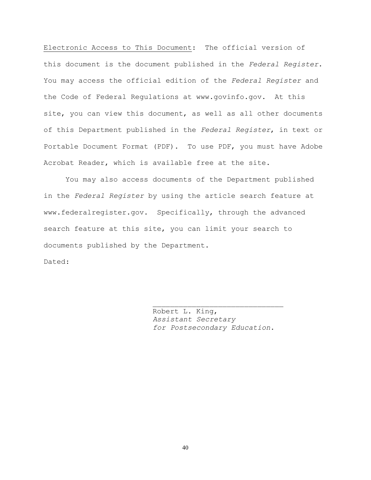Electronic Access to This Document: The official version of this document is the document published in the *Federal Register*. You may access the official edition of the *Federal Register* and the Code of Federal Regulations at www.govinfo.gov. At this site, you can view this document, as well as all other documents of this Department published in the *Federal Register*, in text or Portable Document Format (PDF). To use PDF, you must have Adobe Acrobat Reader, which is available free at the site.

You may also access documents of the Department published in the *Federal Register* by using the article search feature at www.federalregister.gov. Specifically, through the advanced search feature at this site, you can limit your search to documents published by the Department.

Dated:

Robert L. King, *Assistant Secretary for Postsecondary Education*.

\_\_\_\_\_\_\_\_\_\_\_\_\_\_\_\_\_\_\_\_\_\_\_\_\_\_\_\_\_\_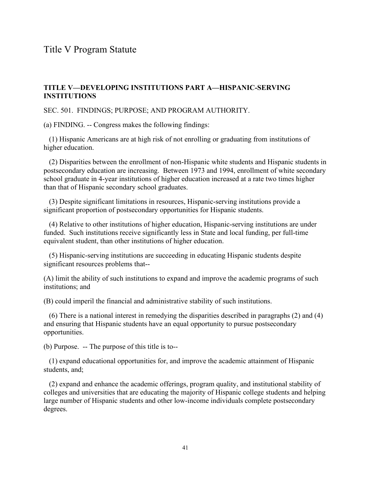### Title V Program Statute

### **TITLE V—DEVELOPING INSTITUTIONS PART A—HISPANIC-SERVING INSTITUTIONS**

### SEC. 501. FINDINGS; PURPOSE; AND PROGRAM AUTHORITY.

(a) FINDING. -- Congress makes the following findings:

(1) Hispanic Americans are at high risk of not enrolling or graduating from institutions of higher education.

(2) Disparities between the enrollment of non-Hispanic white students and Hispanic students in postsecondary education are increasing. Between 1973 and 1994, enrollment of white secondary school graduate in 4-year institutions of higher education increased at a rate two times higher than that of Hispanic secondary school graduates.

(3) Despite significant limitations in resources, Hispanic-serving institutions provide a significant proportion of postsecondary opportunities for Hispanic students.

(4) Relative to other institutions of higher education, Hispanic-serving institutions are under funded. Such institutions receive significantly less in State and local funding, per full-time equivalent student, than other institutions of higher education.

(5) Hispanic-serving institutions are succeeding in educating Hispanic students despite significant resources problems that--

(A) limit the ability of such institutions to expand and improve the academic programs of such institutions; and

(B) could imperil the financial and administrative stability of such institutions.

(6) There is a national interest in remedying the disparities described in paragraphs (2) and (4) and ensuring that Hispanic students have an equal opportunity to pursue postsecondary opportunities.

(b) Purpose. -- The purpose of this title is to--

(1) expand educational opportunities for, and improve the academic attainment of Hispanic students, and;

(2) expand and enhance the academic offerings, program quality, and institutional stability of colleges and universities that are educating the majority of Hispanic college students and helping large number of Hispanic students and other low-income individuals complete postsecondary degrees.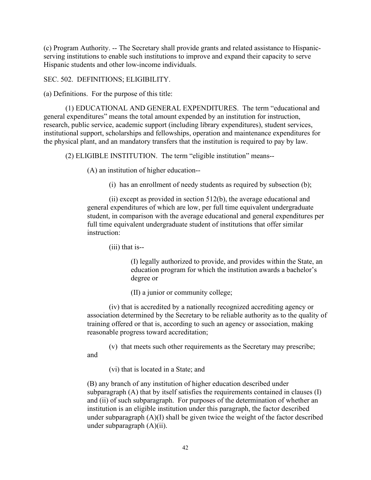(c) Program Authority. -- The Secretary shall provide grants and related assistance to Hispanicserving institutions to enable such institutions to improve and expand their capacity to serve Hispanic students and other low-income individuals.

#### SEC. 502. DEFINITIONS; ELIGIBILITY.

(a) Definitions. For the purpose of this title:

(1) EDUCATIONAL AND GENERAL EXPENDITURES. The term "educational and general expenditures" means the total amount expended by an institution for instruction, research, public service, academic support (including library expenditures), student services, institutional support, scholarships and fellowships, operation and maintenance expenditures for the physical plant, and an mandatory transfers that the institution is required to pay by law.

(2) ELIGIBLE INSTITUTION. The term "eligible institution" means--

(A) an institution of higher education--

(i) has an enrollment of needy students as required by subsection (b);

(ii) except as provided in section 512(b), the average educational and general expenditures of which are low, per full time equivalent undergraduate student, in comparison with the average educational and general expenditures per full time equivalent undergraduate student of institutions that offer similar instruction:

(iii) that is--

(I) legally authorized to provide, and provides within the State, an education program for which the institution awards a bachelor's degree or

(II) a junior or community college;

(iv) that is accredited by a nationally recognized accrediting agency or association determined by the Secretary to be reliable authority as to the quality of training offered or that is, according to such an agency or association, making reasonable progress toward accreditation;

(v) that meets such other requirements as the Secretary may prescribe; and

(vi) that is located in a State; and

(B) any branch of any institution of higher education described under subparagraph (A) that by itself satisfies the requirements contained in clauses (I) and (ii) of such subparagraph. For purposes of the determination of whether an institution is an eligible institution under this paragraph, the factor described under subparagraph  $(A)(I)$  shall be given twice the weight of the factor described under subparagraph (A)(ii).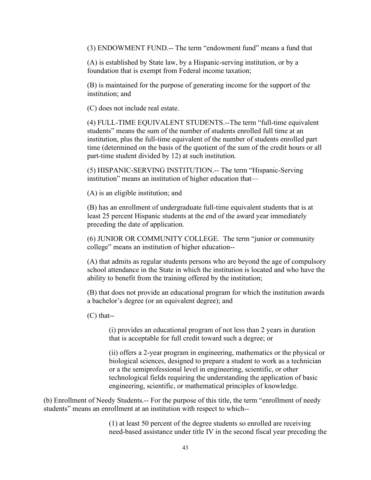(3) ENDOWMENT FUND.-- The term "endowment fund" means a fund that

(A) is established by State law, by a Hispanic-serving institution, or by a foundation that is exempt from Federal income taxation;

(B) is maintained for the purpose of generating income for the support of the institution; and

(C) does not include real estate.

(4) FULL-TIME EQUIVALENT STUDENTS.--The term "full-time equivalent students" means the sum of the number of students enrolled full time at an institution, plus the full-time equivalent of the number of students enrolled part time (determined on the basis of the quotient of the sum of the credit hours or all part-time student divided by 12) at such institution.

(5) HISPANIC-SERVING INSTITUTION.-- The term "Hispanic-Serving institution" means an institution of higher education that—

(A) is an eligible institution; and

(B) has an enrollment of undergraduate full-time equivalent students that is at least 25 percent Hispanic students at the end of the award year immediately preceding the date of application.

(6) JUNIOR OR COMMUNITY COLLEGE. The term "junior or community college" means an institution of higher education--

(A) that admits as regular students persons who are beyond the age of compulsory school attendance in the State in which the institution is located and who have the ability to benefit from the training offered by the institution;

(B) that does not provide an educational program for which the institution awards a bachelor's degree (or an equivalent degree); and

 $(C)$  that--

(i) provides an educational program of not less than 2 years in duration that is acceptable for full credit toward such a degree; or

(ii) offers a 2-year program in engineering, mathematics or the physical or biological sciences, designed to prepare a student to work as a technician or a the semiprofessional level in engineering, scientific, or other technological fields requiring the understanding the application of basic engineering, scientific, or mathematical principles of knowledge.

(b) Enrollment of Needy Students.-- For the purpose of this title, the term "enrollment of needy students" means an enrollment at an institution with respect to which--

> (1) at least 50 percent of the degree students so enrolled are receiving need-based assistance under title IV in the second fiscal year preceding the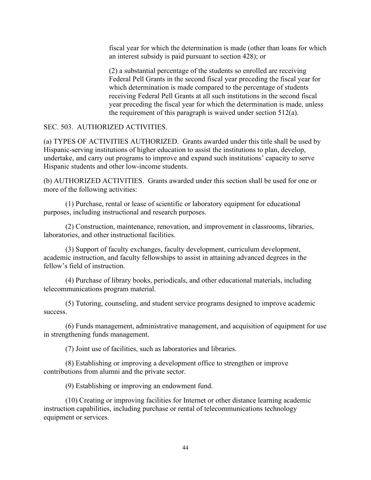fiscal year for which the determination is made (other than loans for which an interest subsidy is paid pursuant to section 428); or

(2) a substantial percentage of the students so enrolled are receiving Federal Pell Grants in the second fiscal year preceding the fiscal year for which determination is made compared to the percentage of students receiving Federal Pell Grants at all such institutions in the second fiscal year preceding the fiscal year for which the determination is made, unless the requirement of this paragraph is waived under section 512(a).

### SEC. 503. AUTHORIZED ACTIVITIES.

(a) TYPES OF ACTIVITIES AUTHORIZED. Grants awarded under this title shall be used by Hispanic-serving institutions of higher education to assist the institutions to plan, develop, undertake, and carry out programs to improve and expand such institutions' capacity to serve Hispanic students and other low-income students.

(b) AUTHORIZED ACTIVITIES. Grants awarded under this section shall be used for one or more of the following activities:

(1) Purchase, rental or lease of scientific or laboratory equipment for educational purposes, including instructional and research purposes.

(2) Construction, maintenance, renovation, and improvement in classrooms, libraries, laboratories, and other instructional facilities.

(3) Support of faculty exchanges, faculty development, curriculum development, academic instruction, and faculty fellowships to assist in attaining advanced degrees in the fellow's field of instruction.

(4) Purchase of library books, periodicals, and other educational materials, including telecommunications program material.

(5) Tutoring, counseling, and student service programs designed to improve academic success.

(6) Funds management, administrative management, and acquisition of equipment for use in strengthening funds management.

(7) Joint use of facilities, such as laboratories and libraries.

(8) Establishing or improving a development office to strengthen or improve contributions from alumni and the private sector.

(9) Establishing or improving an endowment fund.

(10) Creating or improving facilities for Internet or other distance learning academic instruction capabilities, including purchase or rental of telecommunications technology equipment or services.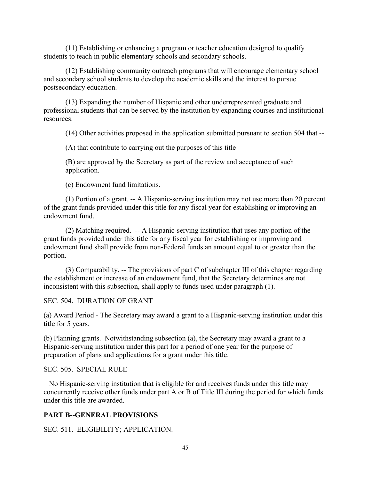(11) Establishing or enhancing a program or teacher education designed to qualify students to teach in public elementary schools and secondary schools.

(12) Establishing community outreach programs that will encourage elementary school and secondary school students to develop the academic skills and the interest to pursue postsecondary education.

(13) Expanding the number of Hispanic and other underrepresented graduate and professional students that can be served by the institution by expanding courses and institutional resources.

(14) Other activities proposed in the application submitted pursuant to section 504 that --

(A) that contribute to carrying out the purposes of this title

(B) are approved by the Secretary as part of the review and acceptance of such application.

(c) Endowment fund limitations. –

(1) Portion of a grant. -- A Hispanic-serving institution may not use more than 20 percent of the grant funds provided under this title for any fiscal year for establishing or improving an endowment fund.

(2) Matching required. -- A Hispanic-serving institution that uses any portion of the grant funds provided under this title for any fiscal year for establishing or improving and endowment fund shall provide from non-Federal funds an amount equal to or greater than the portion.

(3) Comparability. -- The provisions of part C of subchapter III of this chapter regarding the establishment or increase of an endowment fund, that the Secretary determines are not inconsistent with this subsection, shall apply to funds used under paragraph (1).

### SEC. 504. DURATION OF GRANT

(a) Award Period - The Secretary may award a grant to a Hispanic-serving institution under this title for 5 years.

(b) Planning grants. Notwithstanding subsection (a), the Secretary may award a grant to a Hispanic-serving institution under this part for a period of one year for the purpose of preparation of plans and applications for a grant under this title.

#### SEC. 505. SPECIAL RULE

No Hispanic-serving institution that is eligible for and receives funds under this title may concurrently receive other funds under part A or B of Title III during the period for which funds under this title are awarded.

### **PART B--GENERAL PROVISIONS**

SEC. 511. ELIGIBILITY; APPLICATION.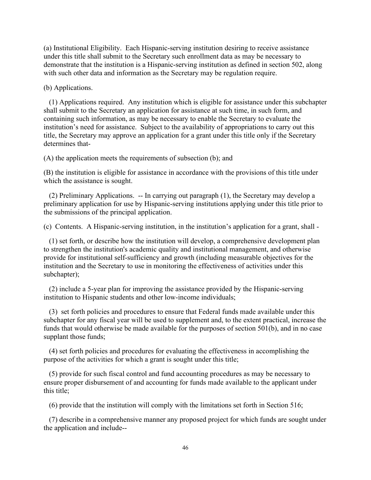(a) Institutional Eligibility. Each Hispanic-serving institution desiring to receive assistance under this title shall submit to the Secretary such enrollment data as may be necessary to demonstrate that the institution is a Hispanic-serving institution as defined in section 502, along with such other data and information as the Secretary may be regulation require.

(b) Applications.

(1) Applications required. Any institution which is eligible for assistance under this subchapter shall submit to the Secretary an application for assistance at such time, in such form, and containing such information, as may be necessary to enable the Secretary to evaluate the institution's need for assistance. Subject to the availability of appropriations to carry out this title, the Secretary may approve an application for a grant under this title only if the Secretary determines that-

(A) the application meets the requirements of subsection (b); and

(B) the institution is eligible for assistance in accordance with the provisions of this title under which the assistance is sought.

(2) Preliminary Applications. -- In carrying out paragraph (1), the Secretary may develop a preliminary application for use by Hispanic-serving institutions applying under this title prior to the submissions of the principal application.

(c) Contents. A Hispanic-serving institution, in the institution's application for a grant, shall -

(1) set forth, or describe how the institution will develop, a comprehensive development plan to strengthen the institution's academic quality and institutional management, and otherwise provide for institutional self-sufficiency and growth (including measurable objectives for the institution and the Secretary to use in monitoring the effectiveness of activities under this subchapter);

(2) include a 5-year plan for improving the assistance provided by the Hispanic-serving institution to Hispanic students and other low-income individuals;

(3) set forth policies and procedures to ensure that Federal funds made available under this subchapter for any fiscal year will be used to supplement and, to the extent practical, increase the funds that would otherwise be made available for the purposes of section 501(b), and in no case supplant those funds;

(4) set forth policies and procedures for evaluating the effectiveness in accomplishing the purpose of the activities for which a grant is sought under this title;

(5) provide for such fiscal control and fund accounting procedures as may be necessary to ensure proper disbursement of and accounting for funds made available to the applicant under this title;

(6) provide that the institution will comply with the limitations set forth in Section 516;

(7) describe in a comprehensive manner any proposed project for which funds are sought under the application and include--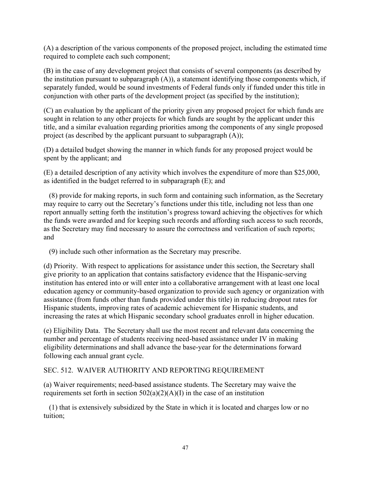(A) a description of the various components of the proposed project, including the estimated time required to complete each such component;

(B) in the case of any development project that consists of several components (as described by the institution pursuant to subparagraph (A)), a statement identifying those components which, if separately funded, would be sound investments of Federal funds only if funded under this title in conjunction with other parts of the development project (as specified by the institution);

(C) an evaluation by the applicant of the priority given any proposed project for which funds are sought in relation to any other projects for which funds are sought by the applicant under this title, and a similar evaluation regarding priorities among the components of any single proposed project (as described by the applicant pursuant to subparagraph (A));

(D) a detailed budget showing the manner in which funds for any proposed project would be spent by the applicant; and

(E) a detailed description of any activity which involves the expenditure of more than \$25,000, as identified in the budget referred to in subparagraph (E); and

(8) provide for making reports, in such form and containing such information, as the Secretary may require to carry out the Secretary's functions under this title, including not less than one report annually setting forth the institution's progress toward achieving the objectives for which the funds were awarded and for keeping such records and affording such access to such records, as the Secretary may find necessary to assure the correctness and verification of such reports; and

(9) include such other information as the Secretary may prescribe.

(d) Priority. With respect to applications for assistance under this section, the Secretary shall give priority to an application that contains satisfactory evidence that the Hispanic-serving institution has entered into or will enter into a collaborative arrangement with at least one local education agency or community-based organization to provide such agency or organization with assistance (from funds other than funds provided under this title) in reducing dropout rates for Hispanic students, improving rates of academic achievement for Hispanic students, and increasing the rates at which Hispanic secondary school graduates enroll in higher education.

(e) Eligibility Data. The Secretary shall use the most recent and relevant data concerning the number and percentage of students receiving need-based assistance under IV in making eligibility determinations and shall advance the base-year for the determinations forward following each annual grant cycle.

### SEC. 512. WAIVER AUTHORITY AND REPORTING REQUIREMENT

(a) Waiver requirements; need-based assistance students. The Secretary may waive the requirements set forth in section  $502(a)(2)(A)(I)$  in the case of an institution

(1) that is extensively subsidized by the State in which it is located and charges low or no tuition;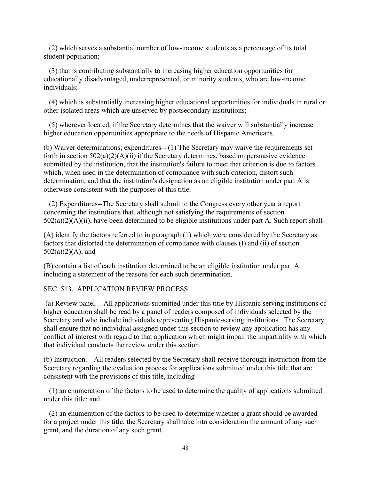(2) which serves a substantial number of low-income students as a percentage of its total student population;

(3) that is contributing substantially to increasing higher education opportunities for educationally disadvantaged, underrepresented, or minority students, who are low-income individuals;

(4) which is substantially increasing higher educational opportunities for individuals in rural or other isolated areas which are unserved by postsecondary institutions;

(5) wherever located, if the Secretary determines that the waiver will substantially increase higher education opportunities appropriate to the needs of Hispanic Americans.

(b) Waiver determinations; expenditures-- (1) The Secretary may waive the requirements set forth in section  $502(a)(2)(A)(ii)$  if the Secretary determines, based on persuasive evidence submitted by the institution, that the institution's failure to meet that criterion is due to factors which, when used in the determination of compliance with such criterion, distort such determination, and that the institution's designation as an eligible institution under part A is otherwise consistent with the purposes of this title.

(2) Expenditures--The Secretary shall submit to the Congress every other year a report concerning the institutions that, although not satisfying the requirements of section  $502(a)(2)(A)(ii)$ , have been determined to be eligible institutions under part A. Such report shall-

(A) identify the factors referred to in paragraph (1) which were considered by the Secretary as factors that distorted the determination of compliance with clauses (I) and (ii) of section  $502(a)(2)(A)$ ; and

(B) contain a list of each institution determined to be an eligible institution under part A including a statement of the reasons for each such determination.

### SEC. 513. APPLICATION REVIEW PROCESS

(a) Review panel.-- All applications submitted under this title by Hispanic serving institutions of higher education shall be read by a panel of readers composed of individuals selected by the Secretary and who include individuals representing Hispanic-serving institutions. The Secretary shall ensure that no individual assigned under this section to review any application has any conflict of interest with regard to that application which might impair the impartiality with which that individual conducts the review under this section.

(b) Instruction.-- All readers selected by the Secretary shall receive thorough instruction from the Secretary regarding the evaluation process for applications submitted under this title that are consistent with the provisions of this title, including--

(1) an enumeration of the factors to be used to determine the quality of applications submitted under this title; and

(2) an enumeration of the factors to be used to determine whether a grant should be awarded for a project under this title, the Secretary shall take into consideration the amount of any such grant, and the duration of any such grant.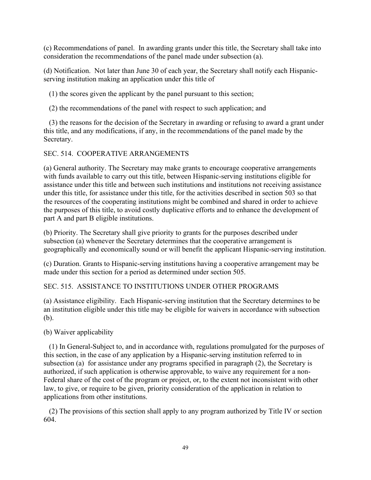(c) Recommendations of panel. In awarding grants under this title, the Secretary shall take into consideration the recommendations of the panel made under subsection (a).

(d) Notification. Not later than June 30 of each year, the Secretary shall notify each Hispanicserving institution making an application under this title of

(1) the scores given the applicant by the panel pursuant to this section;

(2) the recommendations of the panel with respect to such application; and

(3) the reasons for the decision of the Secretary in awarding or refusing to award a grant under this title, and any modifications, if any, in the recommendations of the panel made by the Secretary.

SEC. 514. COOPERATIVE ARRANGEMENTS

(a) General authority. The Secretary may make grants to encourage cooperative arrangements with funds available to carry out this title, between Hispanic-serving institutions eligible for assistance under this title and between such institutions and institutions not receiving assistance under this title, for assistance under this title, for the activities described in section 503 so that the resources of the cooperating institutions might be combined and shared in order to achieve the purposes of this title, to avoid costly duplicative efforts and to enhance the development of part A and part B eligible institutions.

(b) Priority. The Secretary shall give priority to grants for the purposes described under subsection (a) whenever the Secretary determines that the cooperative arrangement is geographically and economically sound or will benefit the applicant Hispanic-serving institution.

(c) Duration. Grants to Hispanic-serving institutions having a cooperative arrangement may be made under this section for a period as determined under section 505.

### SEC. 515. ASSISTANCE TO INSTITUTIONS UNDER OTHER PROGRAMS

(a) Assistance eligibility. Each Hispanic-serving institution that the Secretary determines to be an institution eligible under this title may be eligible for waivers in accordance with subsection (b).

(b) Waiver applicability

(1) In General-Subject to, and in accordance with, regulations promulgated for the purposes of this section, in the case of any application by a Hispanic-serving institution referred to in subsection (a) for assistance under any programs specified in paragraph (2), the Secretary is authorized, if such application is otherwise approvable, to waive any requirement for a non-Federal share of the cost of the program or project, or, to the extent not inconsistent with other law, to give, or require to be given, priority consideration of the application in relation to applications from other institutions.

(2) The provisions of this section shall apply to any program authorized by Title IV or section 604.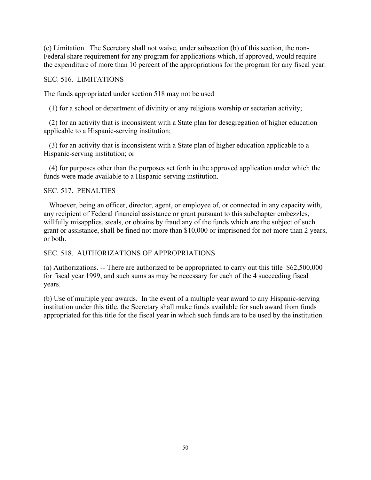(c) Limitation. The Secretary shall not waive, under subsection (b) of this section, the non-Federal share requirement for any program for applications which, if approved, would require the expenditure of more than 10 percent of the appropriations for the program for any fiscal year.

### SEC. 516. LIMITATIONS

The funds appropriated under section 518 may not be used

(1) for a school or department of divinity or any religious worship or sectarian activity;

(2) for an activity that is inconsistent with a State plan for desegregation of higher education applicable to a Hispanic-serving institution;

(3) for an activity that is inconsistent with a State plan of higher education applicable to a Hispanic-serving institution; or

(4) for purposes other than the purposes set forth in the approved application under which the funds were made available to a Hispanic-serving institution.

### SEC. 517. PENALTIES

Whoever, being an officer, director, agent, or employee of, or connected in any capacity with, any recipient of Federal financial assistance or grant pursuant to this subchapter embezzles, willfully misapplies, steals, or obtains by fraud any of the funds which are the subject of such grant or assistance, shall be fined not more than \$10,000 or imprisoned for not more than 2 years, or both.

### SEC. 518. AUTHORIZATIONS OF APPROPRIATIONS

(a) Authorizations. -- There are authorized to be appropriated to carry out this title \$62,500,000 for fiscal year 1999, and such sums as may be necessary for each of the 4 succeeding fiscal years.

(b) Use of multiple year awards. In the event of a multiple year award to any Hispanic-serving institution under this title, the Secretary shall make funds available for such award from funds appropriated for this title for the fiscal year in which such funds are to be used by the institution.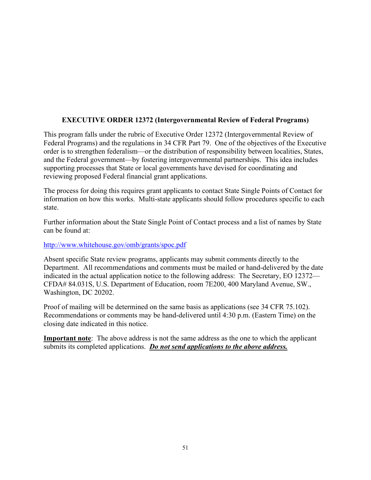### **EXECUTIVE ORDER 12372 (Intergovernmental Review of Federal Programs)**

This program falls under the rubric of Executive Order 12372 (Intergovernmental Review of Federal Programs) and the regulations in 34 CFR Part 79. One of the objectives of the Executive order is to strengthen federalism—or the distribution of responsibility between localities, States, and the Federal government—by fostering intergovernmental partnerships. This idea includes supporting processes that State or local governments have devised for coordinating and reviewing proposed Federal financial grant applications.

The process for doing this requires grant applicants to contact State Single Points of Contact for information on how this works. Multi-state applicants should follow procedures specific to each state.

Further information about the State Single Point of Contact process and a list of names by State can be found at:

### <http://www.whitehouse.gov/omb/grants/spoc.pdf>

Absent specific State review programs, applicants may submit comments directly to the Department. All recommendations and comments must be mailed or hand-delivered by the date indicated in the actual application notice to the following address: The Secretary, EO 12372— CFDA# 84.031S, U.S. Department of Education, room 7E200, 400 Maryland Avenue, SW., Washington, DC 20202.

Proof of mailing will be determined on the same basis as applications (see 34 CFR 75.102). Recommendations or comments may be hand-delivered until 4:30 p.m. (Eastern Time) on the closing date indicated in this notice.

**Important note**: The above address is not the same address as the one to which the applicant submits its completed applications. *Do not send applications to the above address.*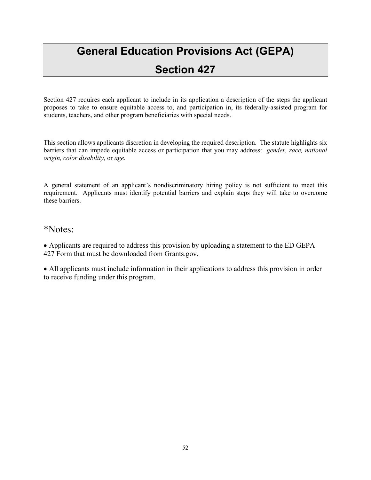# **General Education Provisions Act (GEPA) Section 427**

Section 427 requires each applicant to include in its application a description of the steps the applicant proposes to take to ensure equitable access to, and participation in, its federally-assisted program for students, teachers, and other program beneficiaries with special needs.

This section allows applicants discretion in developing the required description. The statute highlights six barriers that can impede equitable access or participation that you may address: *gender, race, national origin, color disability,* or *age.*

A general statement of an applicant's nondiscriminatory hiring policy is not sufficient to meet this requirement. Applicants must identify potential barriers and explain steps they will take to overcome these barriers.

### \*Notes:

• Applicants are required to address this provision by uploading a statement to the ED GEPA 427 Form that must be downloaded from Grants.gov.

• All applicants must include information in their applications to address this provision in order to receive funding under this program.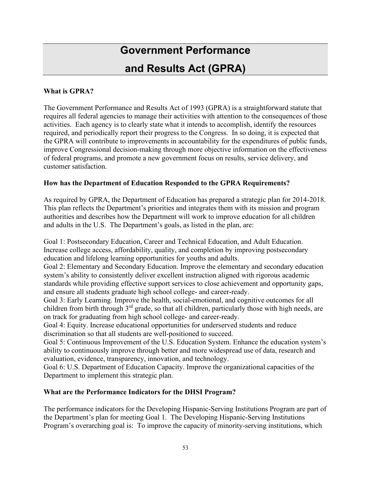# **Government Performance and Results Act (GPRA)**

### **What is GPRA?**

The Government Performance and Results Act of 1993 (GPRA) is a straightforward statute that requires all federal agencies to manage their activities with attention to the consequences of those activities. Each agency is to clearly state what it intends to accomplish, identify the resources required, and periodically report their progress to the Congress. In so doing, it is expected that the GPRA will contribute to improvements in accountability for the expenditures of public funds, improve Congressional decision-making through more objective information on the effectiveness of federal programs, and promote a new government focus on results, service delivery, and customer satisfaction.

### **How has the Department of Education Responded to the GPRA Requirements?**

As required by GPRA, the Department of Education has prepared a strategic plan for 2014-2018. This plan reflects the Department's priorities and integrates them with its mission and program authorities and describes how the Department will work to improve education for all children and adults in the U.S. The Department's goals, as listed in the plan, are:

Goal 1: Postsecondary Education, Career and Technical Education, and Adult Education. Increase college access, affordability, quality, and completion by improving postsecondary education and lifelong learning opportunities for youths and adults.

Goal 2: Elementary and Secondary Education. Improve the elementary and secondary education system's ability to consistently deliver excellent instruction aligned with rigorous academic standards while providing effective support services to close achievement and opportunity gaps, and ensure all students graduate high school college- and career-ready.

Goal 3: Early Learning. Improve the health, social-emotional, and cognitive outcomes for all children from birth through  $3<sup>rd</sup>$  grade, so that all children, particularly those with high needs, are on track for graduating from high school college- and career-ready.

Goal 4: Equity. Increase educational opportunities for underserved students and reduce discrimination so that all students are well-positioned to succeed.

Goal 5: Continuous Improvement of the U.S. Education System. Enhance the education system's ability to continuously improve through better and more widespread use of data, research and evaluation, evidence, transparency, innovation, and technology.

Goal 6: U.S. Department of Education Capacity. Improve the organizational capacities of the Department to implement this strategic plan.

### **What are the Performance Indicators for the DHSI Program?**

The performance indicators for the Developing Hispanic-Serving Institutions Program are part of the Department's plan for meeting Goal 1. The Developing Hispanic-Serving Institutions Program's overarching goal is: To improve the capacity of minority-serving institutions, which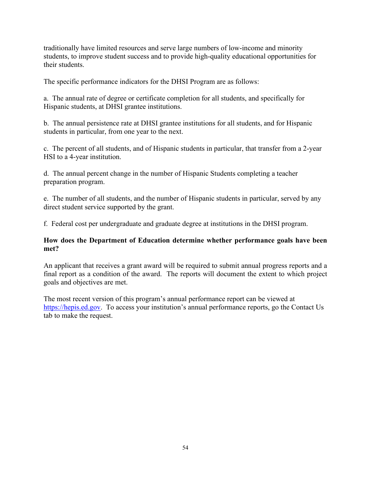traditionally have limited resources and serve large numbers of low-income and minority students, to improve student success and to provide high-quality educational opportunities for their students.

The specific performance indicators for the DHSI Program are as follows:

a. The annual rate of degree or certificate completion for all students, and specifically for Hispanic students, at DHSI grantee institutions.

b. The annual persistence rate at DHSI grantee institutions for all students, and for Hispanic students in particular, from one year to the next.

c. The percent of all students, and of Hispanic students in particular, that transfer from a 2-year HSI to a 4-year institution.

d. The annual percent change in the number of Hispanic Students completing a teacher preparation program.

e. The number of all students, and the number of Hispanic students in particular, served by any direct student service supported by the grant.

f. Federal cost per undergraduate and graduate degree at institutions in the DHSI program.

### **How does the Department of Education determine whether performance goals have been met?**

An applicant that receives a grant award will be required to submit annual progress reports and a final report as a condition of the award. The reports will document the extent to which project goals and objectives are met.

The most recent version of this program's annual performance report can be viewed at [https://hepis.ed.gov.](https://hepis.ed.gov/) To access your institution's annual performance reports, go the Contact Us tab to make the request.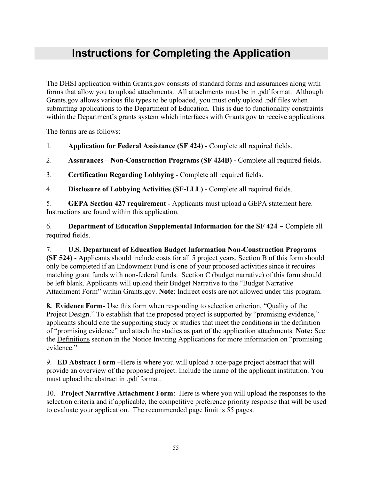# **Instructions for Completing the Application**

The DHSI application within Grants.gov consists of standard forms and assurances along with forms that allow you to upload attachments. All attachments must be in .pdf format. Although Grants.gov allows various file types to be uploaded, you must only upload .pdf files when submitting applications to the Department of Education. This is due to functionality constraints within the Department's grants system which interfaces with Grants.gov to receive applications.

The forms are as follows:

- 1. **Application for Federal Assistance (SF 424)** Complete all required fields.
- 2. **Assurances – Non-Construction Programs (SF 424B) -** Complete all required fields**.**
- 3. **Certification Regarding Lobbying** Complete all required fields.
- 4. **Disclosure of Lobbying Activities (SF-LLL)** Complete all required fields.

5. **GEPA Section 427 requirement** - Applicants must upload a GEPA statement here. Instructions are found within this application.

6. **Department of Education Supplemental Information for the SF 424** - Complete all required fields.

7. **U.S. Department of Education Budget Information Non-Construction Programs (SF 524)** - Applicants should include costs for all 5 project years. Section B of this form should only be completed if an Endowment Fund is one of your proposed activities since it requires matching grant funds with non-federal funds. Section C (budget narrative) of this form should be left blank. Applicants will upload their Budget Narrative to the "Budget Narrative Attachment Form" within Grants.gov. **Note**: Indirect costs are not allowed under this program.

**8. Evidence Form-** Use this form when responding to selection criterion, "Quality of the Project Design." To establish that the proposed project is supported by "promising evidence," applicants should cite the supporting study or studies that meet the conditions in the definition of "promising evidence" and attach the studies as part of the application attachments. **Note:** See the Definitions section in the Notice Inviting Applications for more information on "promising evidence."

9. **ED Abstract Form** –Here is where you will upload a one-page project abstract that will provide an overview of the proposed project. Include the name of the applicant institution. You must upload the abstract in .pdf format.

10.**Project Narrative Attachment Form**: Here is where you will upload the responses to the selection criteria and if applicable, the competitive preference priority response that will be used to evaluate your application. The recommended page limit is 55 pages.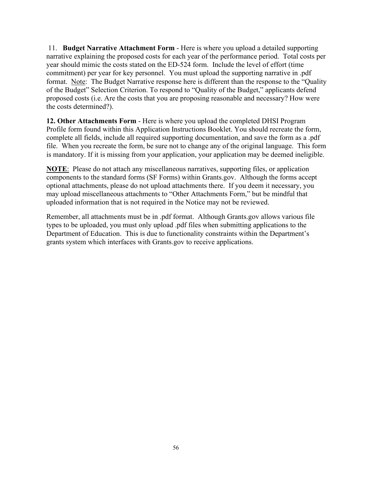11. **Budget Narrative Attachment Form** - Here is where you upload a detailed supporting narrative explaining the proposed costs for each year of the performance period. Total costs per year should mimic the costs stated on the ED-524 form. Include the level of effort (time commitment) per year for key personnel. You must upload the supporting narrative in .pdf format. Note: The Budget Narrative response here is different than the response to the "Quality of the Budget" Selection Criterion. To respond to "Quality of the Budget," applicants defend proposed costs (i.e. Are the costs that you are proposing reasonable and necessary? How were the costs determined?).

**12. Other Attachments Form** - Here is where you upload the completed DHSI Program Profile form found within this Application Instructions Booklet. You should recreate the form, complete all fields, include all required supporting documentation, and save the form as a .pdf file. When you recreate the form, be sure not to change any of the original language. This form is mandatory. If it is missing from your application, your application may be deemed ineligible.

**NOTE**:Please do not attach any miscellaneous narratives, supporting files, or application components to the standard forms (SF Forms) within Grants.gov. Although the forms accept optional attachments, please do not upload attachments there. If you deem it necessary, you may upload miscellaneous attachments to "Other Attachments Form," but be mindful that uploaded information that is not required in the Notice may not be reviewed.

Remember, all attachments must be in .pdf format. Although Grants.gov allows various file types to be uploaded, you must only upload .pdf files when submitting applications to the Department of Education. This is due to functionality constraints within the Department's grants system which interfaces with Grants.gov to receive applications.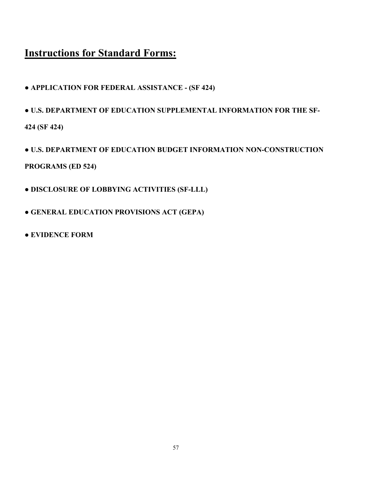## **Instructions for Standard Forms:**

**● APPLICATION FOR FEDERAL ASSISTANCE - (SF 424)**

**● U.S. DEPARTMENT OF EDUCATION SUPPLEMENTAL INFORMATION FOR THE SF-424 (SF 424)**

**● U.S. DEPARTMENT OF EDUCATION BUDGET INFORMATION NON-CONSTRUCTION PROGRAMS (ED 524)**

- **DISCLOSURE OF LOBBYING ACTIVITIES (SF-LLL)**
- **GENERAL EDUCATION PROVISIONS ACT (GEPA)**
- **EVIDENCE FORM**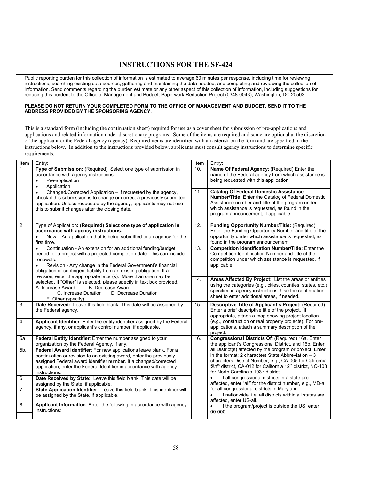### **INSTRUCTIONS FOR THE SF-424**

Public reporting burden for this collection of information is estimated to average 60 minutes per response, including time for reviewing instructions, searching existing data sources, gathering and maintaining the data needed, and completing and reviewing the collection of information. Send comments regarding the burden estimate or any other aspect of this collection of information, including suggestions for reducing this burden, to the Office of Management and Budget, Paperwork Reduction Project (0348-0043), Washington, DC 20503.

#### **PLEASE DO NOT RETURN YOUR COMPLETED FORM TO THE OFFICE OF MANAGEMENT AND BUDGET. SEND IT TO THE ADDRESS PROVIDED BY THE SPONSORING AGENCY.**

This is a standard form (including the continuation sheet) required for use as a cover sheet for submission of pre-applications and applications and related information under discretionary programs. Some of the items are required and some are optional at the discretion of the applicant or the Federal agency (agency). Required items are identified with an asterisk on the form and are specified in the instructions below. In addition to the instructions provided below, applicants must consult agency instructions to determine specific requirements.

| Item             | Entry:                                                                                                                                                                                                                                                                                                                                                                                                                                                                                                                                                                                    | Item | Entry:                                                                                                                                                                                                                                                                                                     |
|------------------|-------------------------------------------------------------------------------------------------------------------------------------------------------------------------------------------------------------------------------------------------------------------------------------------------------------------------------------------------------------------------------------------------------------------------------------------------------------------------------------------------------------------------------------------------------------------------------------------|------|------------------------------------------------------------------------------------------------------------------------------------------------------------------------------------------------------------------------------------------------------------------------------------------------------------|
| 1.               | Type of Submission: (Required): Select one type of submission in<br>accordance with agency instructions.<br>Pre-application<br>$\bullet$<br>Application<br>$\bullet$                                                                                                                                                                                                                                                                                                                                                                                                                      | 10.  | Name Of Federal Agency: (Required) Enter the<br>name of the Federal agency from which assistance is<br>being requested with this application.                                                                                                                                                              |
|                  | Changed/Corrected Application – If requested by the agency,<br>$\bullet$<br>check if this submission is to change or correct a previously submitted<br>application. Unless requested by the agency, applicants may not use<br>this to submit changes after the closing date.                                                                                                                                                                                                                                                                                                              | 11.  | <b>Catalog Of Federal Domestic Assistance</b><br><b>Number/Title:</b> Enter the Catalog of Federal Domestic<br>Assistance number and title of the program under<br>which assistance is requested, as found in the<br>program announcement, if applicable.                                                  |
| 2.               | Type of Application: (Required) Select one type of application in<br>accordance with agency instructions.<br>New - An application that is being submitted to an agency for the<br>first time.                                                                                                                                                                                                                                                                                                                                                                                             | 12.  | <b>Funding Opportunity Number/Title: (Required)</b><br>Enter the Funding Opportunity Number and title of the<br>opportunity under which assistance is requested, as<br>found in the program announcement.                                                                                                  |
|                  | Continuation - An extension for an additional funding/budget<br>$\bullet$<br>period for a project with a projected completion date. This can include<br>renewals.<br>Revision - Any change in the Federal Government's financial<br>$\bullet$<br>obligation or contingent liability from an existing obligation. If a<br>revision, enter the appropriate letter(s). More than one may be<br>selected. If "Other" is selected, please specify in text box provided.<br>A. Increase Award<br><b>B. Decrease Award</b><br>C. Increase Duration<br>D. Decrease Duration<br>E. Other (specify) | 13.  | <b>Competition Identification Number/Title:</b> Enter the<br>Competition Identification Number and title of the<br>competition under which assistance is requested, if<br>applicable.                                                                                                                      |
|                  |                                                                                                                                                                                                                                                                                                                                                                                                                                                                                                                                                                                           | 14.  | Areas Affected By Project: List the areas or entities<br>using the categories (e.g., cities, counties, states, etc.)<br>specified in agency instructions. Use the continuation<br>sheet to enter additional areas, if needed.                                                                              |
| 3.               | Date Received: Leave this field blank. This date will be assigned by<br>the Federal agency.                                                                                                                                                                                                                                                                                                                                                                                                                                                                                               | 15.  | Descriptive Title of Applicant's Project: (Required)<br>Enter a brief descriptive title of the project. If<br>appropriate, attach a map showing project location                                                                                                                                           |
| $\overline{4}$ . | Applicant Identifier: Enter the entity identifier assigned by the Federal<br>agency, if any, or applicant's control number, if applicable.                                                                                                                                                                                                                                                                                                                                                                                                                                                |      | (e.g., construction or real property projects). For pre-<br>applications, attach a summary description of the<br>project.                                                                                                                                                                                  |
| 5a               | Federal Entity Identifier: Enter the number assigned to your<br>organization by the Federal Agency, if any.                                                                                                                                                                                                                                                                                                                                                                                                                                                                               | 16.  | Congressional Districts Of: (Required) 16a. Enter<br>the applicant's Congressional District, and 16b. Enter                                                                                                                                                                                                |
| 5b.              | Federal Award Identifier: For new applications leave blank. For a<br>continuation or revision to an existing award, enter the previously<br>assigned Federal award identifier number. If a changed/corrected<br>application, enter the Federal Identifier in accordance with agency<br>instructions.                                                                                                                                                                                                                                                                                      |      | all District(s) affected by the program or project. Enter<br>in the format: 2 characters State Abbreviation $-3$<br>characters District Number, e.g., CA-005 for California<br>5th <sup>th</sup> district, CA-012 for California 12 <sup>th</sup> district, NC-103<br>for North Carolina's 103rd district. |
| 6.               | Date Received by State: Leave this field blank. This date will be<br>assigned by the State, if applicable.                                                                                                                                                                                                                                                                                                                                                                                                                                                                                |      | If all congressional districts in a state are<br>$\bullet$<br>affected, enter "all" for the district number, e.g., MD-all                                                                                                                                                                                  |
| 7.               | State Application Identifier: Leave this field blank. This identifier will<br>be assigned by the State, if applicable.                                                                                                                                                                                                                                                                                                                                                                                                                                                                    |      | for all congressional districts in Maryland.<br>If nationwide, i.e. all districts within all states are<br>$\bullet$<br>affected, enter US-all.                                                                                                                                                            |
| 8.               | Applicant Information: Enter the following in accordance with agency<br>instructions:                                                                                                                                                                                                                                                                                                                                                                                                                                                                                                     |      | If the program/project is outside the US, enter<br>$\bullet$<br>00-000.                                                                                                                                                                                                                                    |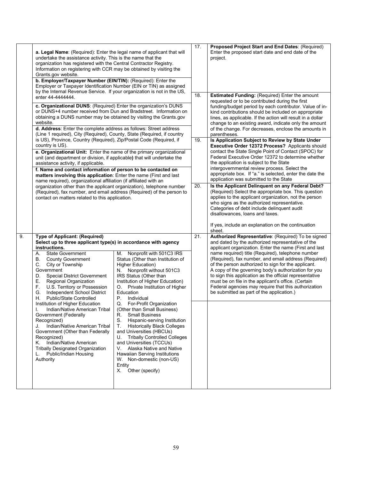|    | <b>a. Legal Name:</b> (Required): Enter the legal name of applicant that will<br>undertake the assistance activity. This is the name that the<br>organization has registered with the Central Contractor Registry.<br>Information on registering with CCR may be obtained by visiting the<br>Grants.gov website.<br>b. Employer/Taxpayer Number (EIN/TIN): (Required): Enter the<br>Employer or Taxpayer Identification Number (EIN or TIN) as assigned<br>by the Internal Revenue Service. If your organization is not in the US,<br>enter 44-4444444.<br>c. Organizational DUNS: (Required) Enter the organization's DUNS<br>or DUNS+4 number received from Dun and Bradstreet. Information on<br>obtaining a DUNS number may be obtained by visiting the Grants gov<br>website.<br>d. Address: Enter the complete address as follows: Street address<br>(Line 1 required), City (Required), County, State (Required, if country<br>is US), Province, Country (Required), Zip/Postal Code (Required, if<br>country is US).<br>e. Organizational Unit: Enter the name of the primary organizational<br>unit (and department or division, if applicable) that will undertake the<br>assistance activity, if applicable.<br>f. Name and contact information of person to be contacted on<br>matters involving this application: Enter the name (First and last<br>name required), organizational affiliation (if affiliated with an<br>organization other than the applicant organization), telephone number<br>(Required), fax number, and email address (Required) of the person to<br>contact on matters related to this application. |                                                                                                                                                                                                                                                                                                                                                                                                                                                                                                                                                                                                                                                                                    | 17.        | Proposed Project Start and End Dates: (Required)<br>Enter the proposed start date and end date of the<br>project.                                                                                                                                                                                                                                                                                                                                                                                                                                                                                                                                                                                                                                                                                                                                                                                                                                                                                                                                                                                                                                                                                             |  |
|----|-----------------------------------------------------------------------------------------------------------------------------------------------------------------------------------------------------------------------------------------------------------------------------------------------------------------------------------------------------------------------------------------------------------------------------------------------------------------------------------------------------------------------------------------------------------------------------------------------------------------------------------------------------------------------------------------------------------------------------------------------------------------------------------------------------------------------------------------------------------------------------------------------------------------------------------------------------------------------------------------------------------------------------------------------------------------------------------------------------------------------------------------------------------------------------------------------------------------------------------------------------------------------------------------------------------------------------------------------------------------------------------------------------------------------------------------------------------------------------------------------------------------------------------------------------------------------------------------------------------------------------------------|------------------------------------------------------------------------------------------------------------------------------------------------------------------------------------------------------------------------------------------------------------------------------------------------------------------------------------------------------------------------------------------------------------------------------------------------------------------------------------------------------------------------------------------------------------------------------------------------------------------------------------------------------------------------------------|------------|---------------------------------------------------------------------------------------------------------------------------------------------------------------------------------------------------------------------------------------------------------------------------------------------------------------------------------------------------------------------------------------------------------------------------------------------------------------------------------------------------------------------------------------------------------------------------------------------------------------------------------------------------------------------------------------------------------------------------------------------------------------------------------------------------------------------------------------------------------------------------------------------------------------------------------------------------------------------------------------------------------------------------------------------------------------------------------------------------------------------------------------------------------------------------------------------------------------|--|
|    |                                                                                                                                                                                                                                                                                                                                                                                                                                                                                                                                                                                                                                                                                                                                                                                                                                                                                                                                                                                                                                                                                                                                                                                                                                                                                                                                                                                                                                                                                                                                                                                                                                         |                                                                                                                                                                                                                                                                                                                                                                                                                                                                                                                                                                                                                                                                                    | 18.<br>19. | <b>Estimated Funding: (Required) Enter the amount</b><br>requested or to be contributed during the first<br>funding/budget period by each contributor. Value of in-<br>kind contributions should be included on appropriate<br>lines, as applicable. If the action will result in a dollar<br>change to an existing award, indicate only the amount<br>of the change. For decreases, enclose the amounts in<br>parentheses.<br>Is Application Subject to Review by State Under<br>Executive Order 12372 Process? Applicants should<br>contact the State Single Point of Contact (SPOC) for<br>Federal Executive Order 12372 to determine whether<br>the application is subject to the State<br>intergovernmental review process. Select the<br>appropriate box. If "a." is selected, enter the date the<br>application was submitted to the State<br>Is the Applicant Delinquent on any Federal Debt?<br>(Required) Select the appropriate box. This question<br>applies to the applicant organization, not the person<br>who signs as the authorized representative.<br>Categories of debt include delinquent audit<br>disallowances, loans and taxes.<br>If yes, include an explanation on the continuation |  |
|    |                                                                                                                                                                                                                                                                                                                                                                                                                                                                                                                                                                                                                                                                                                                                                                                                                                                                                                                                                                                                                                                                                                                                                                                                                                                                                                                                                                                                                                                                                                                                                                                                                                         |                                                                                                                                                                                                                                                                                                                                                                                                                                                                                                                                                                                                                                                                                    | 20.        |                                                                                                                                                                                                                                                                                                                                                                                                                                                                                                                                                                                                                                                                                                                                                                                                                                                                                                                                                                                                                                                                                                                                                                                                               |  |
| 9. | <b>Type of Applicant: (Required)</b><br>Select up to three applicant type(s) in accordance with agency<br>instructions.<br><b>State Government</b><br>А.<br>В.<br><b>County Government</b><br>C.<br>City or Township<br>Government<br><b>Special District Government</b><br>D.<br>Е.<br>Regional Organization<br>F.<br>U.S. Territory or Possession<br>Independent School District<br>G.<br>Η.<br><b>Public/State Controlled</b><br>Institution of Higher Education<br>Indian/Native American Tribal<br>I.<br>Government (Federally<br>Recognized)<br>Indian/Native American Tribal<br>J.<br>Government (Other than Federally<br>Recognized)<br>K. Indian/Native American<br><b>Tribally Designated Organization</b><br>Public/Indian Housing<br>L.<br>Authority                                                                                                                                                                                                                                                                                                                                                                                                                                                                                                                                                                                                                                                                                                                                                                                                                                                                        | M. Nonprofit with 501C3 IRS<br>Status (Other than Institution of<br>Higher Education)<br>N. Nonprofit without 501C3<br>IRS Status (Other than<br>Institution of Higher Education)<br>O. Private Institution of Higher<br>Education<br>Р.<br>Individual<br>For-Profit Organization<br>Q.<br>(Other than Small Business)<br>R.<br><b>Small Business</b><br>S.<br>Hispanic-serving Institution<br>Τ.<br><b>Historically Black Colleges</b><br>and Universities (HBCUs)<br><b>Tribally Controlled Colleges</b><br>U.<br>and Universities (TCCUs)<br>Alaska Native and Native<br>V.<br><b>Hawaiian Serving Institutions</b><br>W. Non-domestic (non-US)<br>Entity<br>X. Other (specify) | 21.        | sheet.<br>Authorized Representative: (Required) To be signed<br>and dated by the authorized representative of the<br>applicant organization. Enter the name (First and last<br>name required) title (Required), telephone number<br>(Required), fax number, and email address (Required)<br>of the person authorized to sign for the applicant.<br>A copy of the governing body's authorization for you<br>to sign this application as the official representative<br>must be on file in the applicant's office. (Certain<br>Federal agencies may require that this authorization<br>be submitted as part of the application.)                                                                                                                                                                                                                                                                                                                                                                                                                                                                                                                                                                                |  |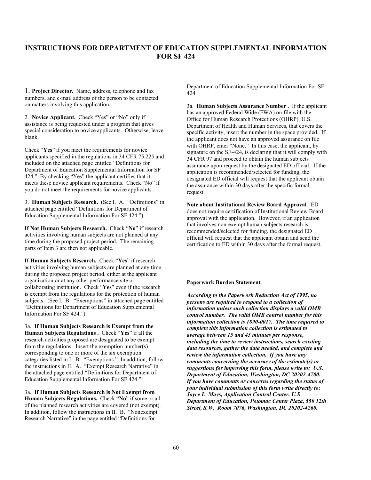### **INSTRUCTIONS FOR DEPARTMENT OF EDUCATION SUPPLEMENTAL INFORMATION FOR SF 424**

1. **Project Director.** Name, address, telephone and fax numbers, and e-mail address of the person to be contacted on matters involving this application.

2. **Novice Applicant.** Check "Yes" or "No" only if assistance is being requested under a program that gives special consideration to novice applicants. Otherwise, leave blank.

Check "**Yes**" if you meet the requirements for novice applicants specified in the regulations in 34 CFR 75.225 and included on the attached page entitled "Definitions for Department of Education Supplemental Information for SF 424." By checking "Yes" the applicant certifies that it meets these novice applicant requirements. Check "No" if you do not meet the requirements for novice applicants.

3. **Human Subjects Research.** (See I. A. "Definitions" in attached page entitled "Definitions for Department of Education Supplemental Information For SF 424.")

**If Not Human Subjects Research.** Check "**No**" if research activities involving human subjects are not planned at any time during the proposed project period. The remaining parts of Item 3 are then not applicable.

**If Human Subjects Research.** Check "**Yes**" if research activities involving human subjects are planned at any time during the proposed project period, either at the applicant organization or at any other performance site or collaborating institution. Check "**Yes**" even if the research is exempt from the regulations for the protection of human subjects. (See I. B. "Exemptions" in attached page entitled "Definitions for Department of Education Supplemental Information For SF 424.")

3a. **If Human Subjects Research is Exempt from the Human Subjects Regulations .** Check "**Yes**" if all the research activities proposed are designated to be exempt from the regulations. Insert the exemption number(s) corresponding to one or more of the six exemption categories listed in I. B. "Exemptions." In addition, follow the instructions in II. A. "Exempt Research Narrative" in the attached page entitled "Definitions for Department of Education Supplemental Information For SF 424."

3a. **If Human Subjects Research is Not Exempt from Human Subjects Regulations.** Check "**No**" if some or all of the planned research activities are covered (not exempt). In addition, follow the instructions in II. B. "Nonexempt Research Narrative" in the page entitled "Definitions for

Department of Education Supplemental Information For SF 424

3a. **Human Subjects Assurance Number .** If the applicant has an approved Federal Wide (FWA) on file with the Office for Human Research Protections (OHRP), U.S. Department of Health and Human Services, that covers the specific activity, insert the number in the space provided. If the applicant does not have an approved assurance on file with OHRP, enter "None." In this case, the applicant, by signature on the SF-424, is declaring that it will comply with 34 CFR 97 and proceed to obtain the human subjects assurance upon request by the designated ED official. If the application is recommended/selected for funding, the designated ED official will request that the applicant obtain the assurance within 30 days after the specific formal request.

**Note about Institutional Review Board Approval**. ED does not require certification of Institutional Review Board approval with the application. However, if an application that involves non-exempt human subjects research is recommended/selected for funding, the designated ED official will request that the applicant obtain and send the certification to ED within 30 days after the formal request.

#### **Paperwork Burden Statement**

*According to the Paperwork Reduction Act of 1995, no persons are required to respond to a collection of information unless such collection displays a valid OMB control number. The valid OMB control number for this information collection is 1890-0017. The time required to complete this information collection is estimated to average between 15 and 45 minutes per response, including the time to review instructions, search existing data resources, gather the data needed, and complete and review the information collection. If you have any comments concerning the accuracy of the estimate(s) or suggestions for improving this form, please write to: U.S. Department of Education, Washington, DC 20202-4700. If you have comments or concerns regarding the status of your individual submission of this form write directly to: Joyce I. Mays, Application Control Center, U.S Department of Education, Potomac Center Plaza, 550 12th Street, S.W. Room 7076, Washington, DC 20202-4260.*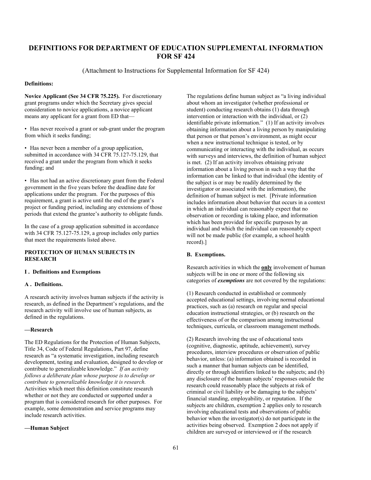### **DEFINITIONS FOR DEPARTMENT OF EDUCATION SUPPLEMENTAL INFORMATION FOR SF 424**

(Attachment to Instructions for Supplemental Information for SF 424)

#### **Definitions:**

**Novice Applicant (See 34 CFR 75.225).** For discretionary grant programs under which the Secretary gives special consideration to novice applications, a novice applicant means any applicant for a grant from ED that—

• Has never received a grant or sub-grant under the program from which it seeks funding;

• Has never been a member of a group application, submitted in accordance with 34 CFR 75.127-75.129, that received a grant under the program from which it seeks funding; and

• Has not had an active discretionary grant from the Federal government in the five years before the deadline date for applications under the program. For the purposes of this requirement, a grant is active until the end of the grant's project or funding period, including any extensions of those periods that extend the grantee's authority to obligate funds.

In the case of a group application submitted in accordance with 34 CFR 75.127-75.129, a group includes only parties that meet the requirements listed above.

#### **PROTECTION OF HUMAN SUBJECTS IN RESEARCH**

#### **I . Definitions and Exemptions**

#### **A . Definitions.**

A research activity involves human subjects if the activity is research, as defined in the Department's regulations, and the research activity will involve use of human subjects, as defined in the regulations.

#### **—Research**

The ED Regulations for the Protection of Human Subjects, Title 34, Code of Federal Regulations, Part 97, define research as "a systematic investigation, including research development, testing and evaluation, designed to develop or contribute to generalizable knowledge." *If an activity follows a deliberate plan whose purpose is to develop or contribute to generalizable knowledge it is research.* Activities which meet this definition constitute research whether or not they are conducted or supported under a program that is considered research for other purposes. For example, some demonstration and service programs may include research activities.

#### **—Human Subject**

The regulations define human subject as "a living individual about whom an investigator (whether professional or student) conducting research obtains (1) data through intervention or interaction with the individual, or (2) identifiable private information." (1) If an activity involves obtaining information about a living person by manipulating that person or that person's environment, as might occur when a new instructional technique is tested, or by communicating or interacting with the individual, as occurs with surveys and interviews, the definition of human subject is met. (2) If an activity involves obtaining private information about a living person in such a way that the information can be linked to that individual (the identity of the subject is or may be readily determined by the investigator or associated with the information), the definition of human subject is met. [Private information includes information about behavior that occurs in a context in which an individual can reasonably expect that no observation or recording is taking place, and information which has been provided for specific purposes by an individual and which the individual can reasonably expect will not be made public (for example, a school health record).]

#### **B. Exemptions.**

Research activities in which the **only** involvement of human subjects will be in one or more of the following six categories of *exemptions* are not covered by the regulations:

(1) Research conducted in established or commonly accepted educational settings, involving normal educational practices, such as (a) research on regular and special education instructional strategies, or (b) research on the effectiveness of or the comparison among instructional techniques, curricula, or classroom management methods.

(2) Research involving the use of educational tests (cognitive, diagnostic, aptitude, achievement), survey procedures, interview procedures or observation of public behavior, unless: (a) information obtained is recorded in such a manner that human subjects can be identified, directly or through identifiers linked to the subjects; and (b) any disclosure of the human subjects' responses outside the research could reasonably place the subjects at risk of criminal or civil liability or be damaging to the subjects' financial standing, employability, or reputation. If the subjects are children, exemption 2 applies only to research involving educational tests and observations of public behavior when the investigator(s) do not participate in the activities being observed. Exemption 2 does not apply if children are surveyed or interviewed or if the research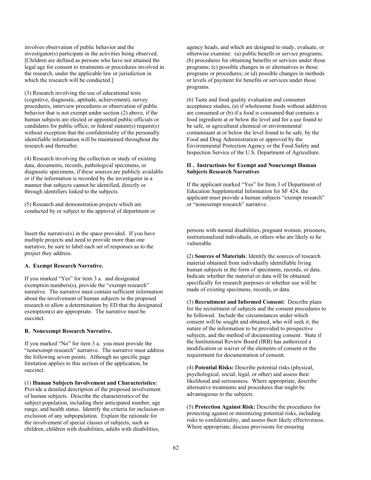involves observation of public behavior and the investigator(s) participate in the activities being observed. [Children are defined as persons who have not attained the legal age for consent to treatments or procedures involved in the research, under the applicable law or jurisdiction in which the research will be conducted.]

(3) Research involving the use of educational tests (cognitive, diagnostic, aptitude, achievement), survey procedures, interview procedures or observation of public behavior that is not exempt under section (2) above, if the human subjects are elected or appointed public officials or candidates for public office; or federal statute(s) require(s) without exception that the confidentiality of the personally identifiable information will be maintained throughout the research and thereafter.

(4) Research involving the collection or study of existing data, documents, records, pathological specimens, or diagnostic specimens, if these sources are publicly available or if the information is recorded by the investigator in a manner that subjects cannot be identified, directly or through identifiers linked to the subjects.

(5) Research and demonstration projects which are conducted by or subject to the approval of department or

Insert the narrative $(s)$  in the space provided. If you have multiple projects and need to provide more than one narrative, be sure to label each set of responses as to the project they address.

#### **A. Exempt Research Narrative.**

If you marked "Yes" for item 3 a. and designated exemption numbers(s), provide the "exempt research" narrative. The narrative must contain sufficient information about the involvement of human subjects in the proposed research to allow a determination by ED that the designated exemption(s) are appropriate. The narrative must be succinct.

#### **B. Nonexempt Research Narrative.**

If you marked "No" for item 3 a. you must provide the "nonexempt research" narrative. The narrative must address the following seven points. Although no specific page limitation applies to this section of the application, be succinct.

#### (1) **Human Subjects Involvement and Characteristics:**

Provide a detailed description of the proposed involvement of human subjects. Describe the characteristics of the subject population, including their anticipated number, age range, and health status. Identify the criteria for inclusion or exclusion of any subpopulation. Explain the rationale for the involvement of special classes of subjects, such as children, children with disabilities, adults with disabilities,

agency heads, and which are designed to study, evaluate, or otherwise examine: (a) public benefit or service programs; (b) procedures for obtaining benefits or services under those programs; (c) possible changes in or alternatives to those programs or procedures; or (d) possible changes in methods or levels of payment for benefits or services under those programs.

(6) Taste and food quality evaluation and consumer acceptance studies, (a) if wholesome foods without additives are consumed or (b) if a food is consumed that contains a food ingredient at or below the level and for a use found to be safe, or agricultural chemical or environmental contaminant at or below the level found to be safe, by the Food and Drug Administration or approved by the Environmental Protection Agency or the Food Safety and Inspection Service of the U.S. Department of Agriculture.

#### **II . Instructions for Exempt and Nonexempt Human Subjects Research Narratives**

If the applicant marked "Yes" for Item 3 of Department of Education Supplemental Information for SF 424, the applicant must provide a human subjects "exempt research" or "nonexempt research" narrative.

persons with mental disabilities, pregnant women, prisoners, institutionalized individuals, or others who are likely to be vulnerable.

(2) **Sources of Materials**: Identify the sources of research material obtained from individually identifiable living human subjects in the form of specimens, records, or data. Indicate whether the material or data will be obtained specifically for research purposes or whether use will be made of existing specimens, records, or data.

(3) **Recruitment and Informed Consent:** Describe plans for the recruitment of subjects and the consent procedures to be followed. Include the circumstances under which consent will be sought and obtained, who will seek it, the nature of the information to be provided to prospective subjects, and the method of documenting consent. State if the Institutional Review Board (IRB) has authorized a modification or waiver of the elements of consent or the requirement for documentation of consent.

(4) **Potential Risks:** Describe potential risks (physical, psychological, social, legal, or other) and assess their likelihood and seriousness. Where appropriate, describe alternative treatments and procedures that might be advantageous to the subjects.

(5) **Protection Against Risk:** Describe the procedures for protecting against or minimizing potential risks, including risks to confidentiality, and assess their likely effectiveness. Where appropriate, discuss provisions for ensuring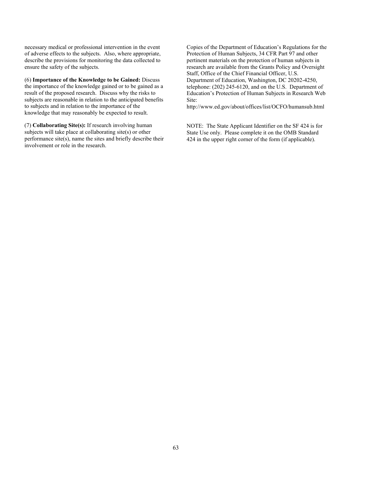necessary medical or professional intervention in the event of adverse effects to the subjects. Also, where appropriate, describe the provisions for monitoring the data collected to ensure the safety of the subjects.

(6) **Importance of the Knowledge to be Gained:** Discuss the importance of the knowledge gained or to be gained as a result of the proposed research. Discuss why the risks to subjects are reasonable in relation to the anticipated benefits to subjects and in relation to the importance of the knowledge that may reasonably be expected to result.

(7) **Collaborating Site(s):** If research involving human subjects will take place at collaborating site(s) or other performance  $site(s)$ , name the sites and briefly describe their involvement or role in the research.

Copies of the Department of Education's Regulations for the Protection of Human Subjects, 34 CFR Part 97 and other pertinent materials on the protection of human subjects in research are available from the Grants Policy and Oversight Staff, Office of the Chief Financial Officer, U.S. Department of Education, Washington, DC 20202-4250, telephone: (202) 245-6120, and on the U.S. Department of Education's Protection of Human Subjects in Research Web Site:

http://www.ed.gov/about/offices/list/OCFO/humansub.html

NOTE: The State Applicant Identifier on the SF 424 is for State Use only. Please complete it on the OMB Standard 424 in the upper right corner of the form (if applicable).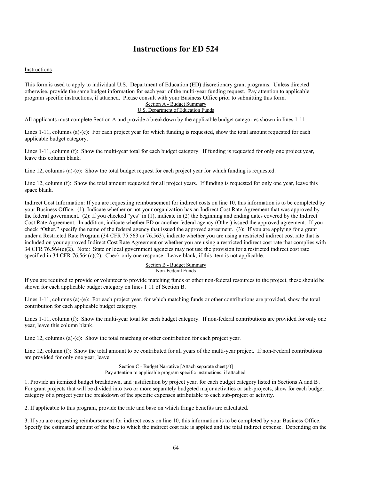### **Instructions for ED 524**

#### **Instructions**

This form is used to apply to individual U.S. Department of Education (ED) discretionary grant programs. Unless directed otherwise, provide the same budget information for each year of the multi-year funding request. Pay attention to applicable program specific instructions, if attached. Please consult with your Business Office prior to submitting this form. Section A - Budget Summary

#### U.S. Department of Education Funds

All applicants must complete Section A and provide a breakdown by the applicable budget categories shown in lines 1-11.

Lines 1-11, columns (a)-(e): For each project year for which funding is requested, show the total amount requested for each applicable budget category.

Lines 1-11, column (f): Show the multi-year total for each budget category. If funding is requested for only one project year, leave this column blank.

Line 12, columns (a)-(e): Show the total budget request for each project year for which funding is requested.

Line 12, column (f): Show the total amount requested for all project years. If funding is requested for only one year, leave this space blank.

Indirect Cost Information: If you are requesting reimbursement for indirect costs on line 10, this information is to be completed by your Business Office. (1): Indicate whether or not your organization has an Indirect Cost Rate Agreement that was approved by the federal government. (2): If you checked "yes" in (1), indicate in (2) the beginning and ending dates covered by the Indirect Cost Rate Agreement. In addition, indicate whether ED or another federal agency (Other) issued the approved agreement. If you check "Other," specify the name of the federal agency that issued the approved agreement. (3): If you are applying for a grant under a Restricted Rate Program (34 CFR 75.563 or 76.563), indicate whether you are using a restricted indirect cost rate that is included on your approved Indirect Cost Rate Agreement or whether you are using a restricted indirect cost rate that complies with 34 CFR 76.564(c)(2). Note: State or local government agencies may not use the provision for a restricted indirect cost rate specified in 34 CFR 76.564 $(c)(2)$ . Check only one response. Leave blank, if this item is not applicable.

#### Section B - Budget Summary Non-Federal Funds

If you are required to provide or volunteer to provide matching funds or other non-federal resources to the project, these should be shown for each applicable budget category on lines 1 11 of Section B.

Lines 1-11, columns (a)-(e): For each project year, for which matching funds or other contributions are provided, show the total contribution for each applicable budget category.

Lines 1-11, column (f): Show the multi-year total for each budget category. If non-federal contributions are provided for only one year, leave this column blank.

Line 12, columns (a)-(e): Show the total matching or other contribution for each project year.

Line 12, column (f): Show the total amount to be contributed for all years of the multi-year project. If non-Federal contributions are provided for only one year, leave

#### Section C - Budget Narrative [Attach separate sheet(s)] Pay attention to applicable program specific instructions, if attached.

1. Provide an itemized budget breakdown, and justification by project year, for each budget category listed in Sections A and B . For grant projects that will be divided into two or more separately budgeted major activities or sub-projects, show for each budget category of a project year the breakdown of the specific expenses attributable to each sub-project or activity.

2. If applicable to this program, provide the rate and base on which fringe benefits are calculated.

3. If you are requesting reimbursement for indirect costs on line 10, this information is to be completed by your Business Office. Specify the estimated amount of the base to which the indirect cost rate is applied and the total indirect expense. Depending on the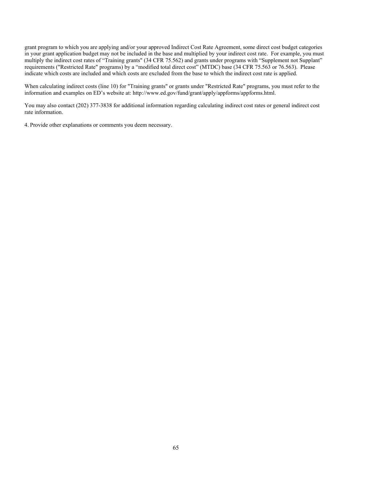grant program to which you are applying and/or your approved Indirect Cost Rate Agreement, some direct cost budget categories in your grant application budget may not be included in the base and multiplied by your indirect cost rate. For example, you must multiply the indirect cost rates of "Training grants" (34 CFR 75.562) and grants under programs with "Supplement not Supplant" requirements ("Restricted Rate" programs) by a "modified total direct cost" (MTDC) base (34 CFR 75.563 or 76.563). Please indicate which costs are included and which costs are excluded from the base to which the indirect cost rate is applied.

When calculating indirect costs (line 10) for "Training grants" or grants under "Restricted Rate" programs, you must refer to the information and examples on ED's website at: http://www.ed.gov/fund/grant/apply/appforms/appforms.html.

You may also contact (202) 377-3838 for additional information regarding calculating indirect cost rates or general indirect cost rate information.

4. Provide other explanations or comments you deem necessary.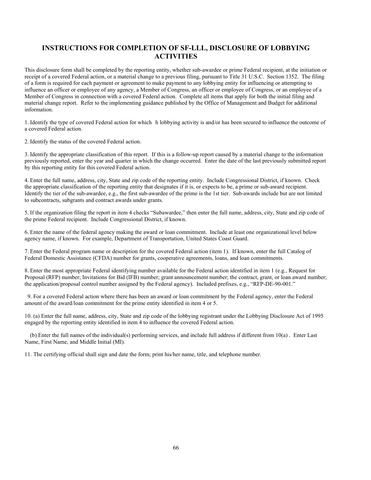### **INSTRUCTIONS FOR COMPLETION OF SF-LLL, DISCLOSURE OF LOBBYING ACTIVITIES**

This disclosure form shall be completed by the reporting entity, whether sub-awardee or prime Federal recipient, at the initiation or receipt of a covered Federal action, or a material change to a previous filing, pursuant to Title 31 U.S.C. Section 1352. The filing of a form is required for each payment or agreement to make payment to any lobbying entity for influencing or attempting to influence an officer or employee of any agency, a Member of Congress, an officer or employee of Congress, or an employee of a Member of Congress in connection with a covered Federal action. Complete all items that apply for both the initial filing and material change report. Refer to the implementing guidance published by the Office of Management and Budget for additional information.

1. Identify the type of covered Federal action for which h lobbying activity is and/or has been secured to influence the outcome of a covered Federal action.

2. Identify the status of the covered Federal action.

3. Identify the appropriate classification of this report. If this is a follow-up report caused by a material change to the information previously reported, enter the year and quarter in which the change occurred. Enter the date of the last previously submitted report by this reporting entity for this covered Federal action.

4. Enter the full name, address, city, State and zip code of the reporting entity. Include Congressional District, if known. Check the appropriate classification of the reporting entity that designates if it is, or expects to be, a prime or sub-award recipient. Identify the tier of the sub-awardee, e.g., the first sub-awardee of the prime is the 1st tier. Sub-awards include but are not limited to subcontracts, subgrants and contract awards under grants.

5. If the organization filing the report in item 4 checks "Subawardee," then enter the full name, address, city, State and zip code of the prime Federal recipient. Include Congressional District, if known.

6. Enter the name of the federal agency making the award or loan commitment. Include at least one organizational level below agency name, if known. For example, Department of Transportation, United States Coast Guard.

7. Enter the Federal program name or description for the covered Federal action (item 1). If known, enter the full Catalog of Federal Domestic Assistance (CFDA) number for grants, cooperative agreements, loans, and loan commitments.

8. Enter the most appropriate Federal identifying number available for the Federal action identified in item 1 (e.g., Request for Proposal (RFP) number; Invitations for Bid (IFB) number; grant announcement number; the contract, grant, or loan award number; the application/proposal control number assigned by the Federal agency). Included prefixes, e.g., "RFP-DE-90-001."

 9. For a covered Federal action where there has been an award or loan commitment by the Federal agency, enter the Federal amount of the award/loan commitment for the prime entity identified in item 4 or 5.

10. (a) Enter the full name, address, city, State and zip code of the lobbying registrant under the Lobbying Disclosure Act of 1995 engaged by the reporting entity identified in item 4 to influence the covered Federal action.

(b) Enter the full names of the individual(s) performing services, and include full address if different from 10(a) . Enter Last Name, First Name, and Middle Initial (MI).

11. The certifying official shall sign and date the form; print his/her name, title, and telephone number.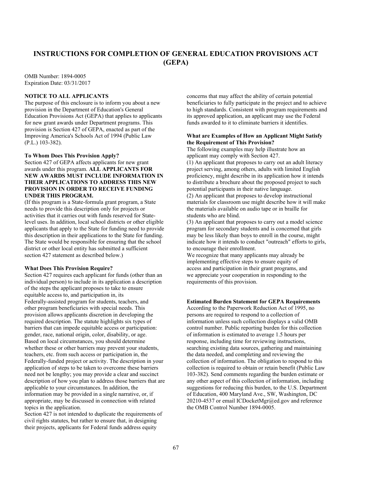### **INSTRUCTIONS FOR COMPLETION OF GENERAL EDUCATION PROVISIONS ACT (GEPA)**

OMB Number: 1894-0005 Expiration Date: 03/31/2017

#### **NOTICE TO ALL APPLICANTS**

The purpose of this enclosure is to inform you about a new provision in the Department of Education's General Education Provisions Act (GEPA) that applies to applicants for new grant awards under Department programs. This provision is Section 427 of GEPA, enacted as part of the Improving America's Schools Act of 1994 (Public Law (P.L.) 103-382).

#### **To Whom Does This Provision Apply?**

Section 427 of GEPA affects applicants for new grant awards under this program. **ALL APPLICANTS FOR NEW AWARDS MUST INCLUDE INFORMATION IN THEIR APPLICATIONS TO ADDRESS THIS NEW PROVISION IN ORDER TO RECEIVE FUNDING UNDER THIS PROGRAM.**

(If this program is a State-formula grant program, a State needs to provide this description only for projects or activities that it carries out with funds reserved for Statelevel uses. In addition, local school districts or other eligible applicants that apply to the State for funding need to provide this description in their applications to the State for funding. The State would be responsible for ensuring that the school district or other local entity has submitted a sufficient section 427 statement as described below.)

#### **What Does This Provision Require?**

Section 427 requires each applicant for funds (other than an individual person) to include in its application a description of the steps the applicant proposes to take to ensure equitable access to, and participation in, its Federally-assisted program for students, teachers, and other program beneficiaries with special needs. This provision allows applicants discretion in developing the required description. The statute highlights six types of barriers that can impede equitable access or participation: gender, race, national origin, color, disability, or age. Based on local circumstances, you should determine whether these or other barriers may prevent your students, teachers, etc. from such access or participation in, the Federally-funded project or activity. The description in your application of steps to be taken to overcome these barriers need not be lengthy; you may provide a clear and succinct description of how you plan to address those barriers that are applicable to your circumstances. In addition, the information may be provided in a single narrative, or, if appropriate, may be discussed in connection with related topics in the application.

Section 427 is not intended to duplicate the requirements of civil rights statutes, but rather to ensure that, in designing their projects, applicants for Federal funds address equity

concerns that may affect the ability of certain potential beneficiaries to fully participate in the project and to achieve to high standards. Consistent with program requirements and its approved application, an applicant may use the Federal funds awarded to it to eliminate barriers it identifies.

#### **What are Examples of How an Applicant Might Satisfy the Requirement of This Provision?**

The following examples may help illustrate how an applicant may comply with Section 427.

(1) An applicant that proposes to carry out an adult literacy project serving, among others, adults with limited English proficiency, might describe in its application how it intends to distribute a brochure about the proposed project to such potential participants in their native language.

(2) An applicant that proposes to develop instructional materials for classroom use might describe how it will make the materials available on audio tape or in braille for students who are blind.

(3) An applicant that proposes to carry out a model science program for secondary students and is concerned that girls may be less likely than boys to enroll in the course, might indicate how it intends to conduct "outreach" efforts to girls, to encourage their enrollment.

We recognize that many applicants may already be implementing effective steps to ensure equity of access and participation in their grant programs, and we appreciate your cooperation in responding to the requirements of this provision.

#### **Estimated Burden Statement for GEPA Requirements**

According to the Paperwork Reduction Act of 1995, no persons are required to respond to a collection of information unless such collection displays a valid OMB control number. Public reporting burden for this collection of information is estimated to average 1.5 hours per response, including time for reviewing instructions, searching existing data sources, gathering and maintaining the data needed, and completing and reviewing the collection of information. The obligation to respond to this collection is required to obtain or retain benefit (Public Law 103-382). Send comments regarding the burden estimate or any other aspect of this collection of information, including suggestions for reducing this burden, to the U.S. Department of Education, 400 Maryland Ave., SW, Washington, DC 20210-4537 or email ICDocketMgr@ed.gov and reference the OMB Control Number 1894-0005.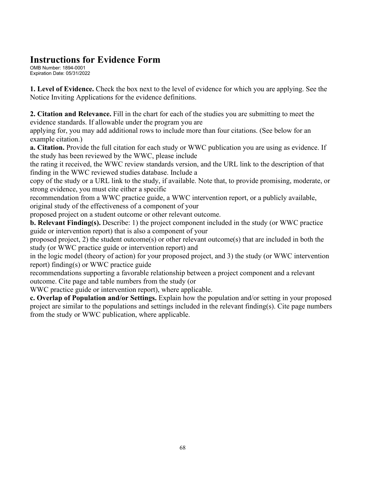## **Instructions for Evidence Form**

OMB Number: 1894-0001 Expiration Date: 05/31/2022

**1. Level of Evidence.** Check the box next to the level of evidence for which you are applying. See the Notice Inviting Applications for the evidence definitions.

**2. Citation and Relevance.** Fill in the chart for each of the studies you are submitting to meet the evidence standards. If allowable under the program you are

applying for, you may add additional rows to include more than four citations. (See below for an example citation.)

**a. Citation.** Provide the full citation for each study or WWC publication you are using as evidence. If the study has been reviewed by the WWC, please include

the rating it received, the WWC review standards version, and the URL link to the description of that finding in the WWC reviewed studies database. Include a

copy of the study or a URL link to the study, if available. Note that, to provide promising, moderate, or strong evidence, you must cite either a specific

recommendation from a WWC practice guide, a WWC intervention report, or a publicly available, original study of the effectiveness of a component of your

proposed project on a student outcome or other relevant outcome.

**b. Relevant Finding(s).** Describe: 1) the project component included in the study (or WWC practice guide or intervention report) that is also a component of your

proposed project, 2) the student outcome(s) or other relevant outcome(s) that are included in both the study (or WWC practice guide or intervention report) and

in the logic model (theory of action) for your proposed project, and 3) the study (or WWC intervention report) finding(s) or WWC practice guide

recommendations supporting a favorable relationship between a project component and a relevant outcome. Cite page and table numbers from the study (or

WWC practice guide or intervention report), where applicable.

**c. Overlap of Population and/or Settings.** Explain how the population and/or setting in your proposed project are similar to the populations and settings included in the relevant finding(s). Cite page numbers from the study or WWC publication, where applicable.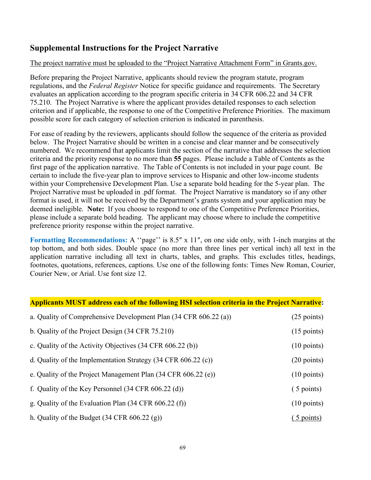### **Supplemental Instructions for the Project Narrative**

### The project narrative must be uploaded to the "Project Narrative Attachment Form" in Grants.gov.

Before preparing the Project Narrative, applicants should review the program statute, program regulations, and the *Federal Register* Notice for specific guidance and requirements. The Secretary evaluates an application according to the program specific criteria in 34 CFR 606.22 and 34 CFR 75.210. The Project Narrative is where the applicant provides detailed responses to each selection criterion and if applicable, the response to one of the Competitive Preference Priorities. The maximum possible score for each category of selection criterion is indicated in parenthesis.

For ease of reading by the reviewers, applicants should follow the sequence of the criteria as provided below. The Project Narrative should be written in a concise and clear manner and be consecutively numbered. We recommend that applicants limit the section of the narrative that addresses the selection criteria and the priority response to no more than **55** pages. Please include a Table of Contents as the first page of the application narrative. The Table of Contents is not included in your page count. Be certain to include the five-year plan to improve services to Hispanic and other low-income students within your Comprehensive Development Plan. Use a separate bold heading for the 5-year plan. The Project Narrative must be uploaded in .pdf format. The Project Narrative is mandatory so if any other format is used, it will not be received by the Department's grants system and your application may be deemed ineligible. **Note:** If you choose to respond to one of the Competitive Preference Priorities, please include a separate bold heading. The applicant may choose where to include the competitive preference priority response within the project narrative.

**Formatting Recommendations:** A ''page'' is 8.5″ x 11″, on one side only, with 1-inch margins at the top bottom, and both sides. Double space (no more than three lines per vertical inch) all text in the application narrative including all text in charts, tables, and graphs. This excludes titles, headings, footnotes, quotations, references, captions. Use one of the following fonts: Times New Roman, Courier, Courier New, or Arial. Use font size 12.

| Applicants MUST address each of the following HSI selection criteria in the Project Narrative: |                       |  |  |  |
|------------------------------------------------------------------------------------------------|-----------------------|--|--|--|
| a. Quality of Comprehensive Development Plan (34 CFR 606.22 (a))                               | $(25 \text{ points})$ |  |  |  |
| b. Quality of the Project Design (34 CFR 75.210)                                               | $(15 \text{ points})$ |  |  |  |
| c. Quality of the Activity Objectives $(34 \text{ CFR } 606.22 \text{ (b)})$                   | $(10 \text{ points})$ |  |  |  |
| d. Quality of the Implementation Strategy $(34 \text{ CFR } 606.22 \text{ (c)})$               | $(20 \text{ points})$ |  |  |  |
| e. Quality of the Project Management Plan $(34 \text{ CFR } 606.22 \text{ (e)})$               | $(10 \text{ points})$ |  |  |  |
| f. Quality of the Key Personnel $(34 \text{ CFR } 606.22 \text{ (d)})$                         | $(5 \text{ points})$  |  |  |  |
| g. Quality of the Evaluation Plan $(34 \text{ CFR } 606.22 \text{ (f)})$                       | $(10 \text{ points})$ |  |  |  |
| h. Quality of the Budget $(34 \text{ CFR } 606.22 \text{ (g)})$                                | 5 points)             |  |  |  |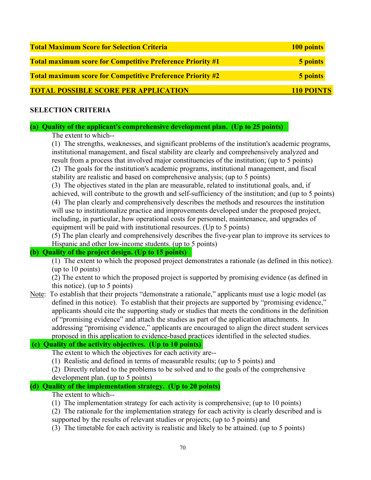| <b>Total Maximum Score for Selection Criteria</b>                 | 100 points        |
|-------------------------------------------------------------------|-------------------|
| <b>Total maximum score for Competitive Preference Priority #1</b> | 5 points          |
| <b>Total maximum score for Competitive Preference Priority #2</b> | 5 points          |
| <b>TOTAL POSSIBLE SCORE PER APPLICATION</b>                       | <b>110 POINTS</b> |

### **SELECTION CRITERIA**

### **(a) Quality of the applicant's comprehensive development plan. (Up to 25 points)**

### The extent to which--

(1) The strengths, weaknesses, and significant problems of the institution's academic programs, institutional management, and fiscal stability are clearly and comprehensively analyzed and result from a process that involved major constituencies of the institution; (up to 5 points) (2) The goals for the institution's academic programs, institutional management, and fiscal stability are realistic and based on comprehensive analysis; (up to 5 points)

(3) The objectives stated in the plan are measurable, related to institutional goals, and, if achieved, will contribute to the growth and self-sufficiency of the institution; and (up to 5 points) (4) The plan clearly and comprehensively describes the methods and resources the institution will use to institutionalize practice and improvements developed under the proposed project, including, in particular, how operational costs for personnel, maintenance, and upgrades of equipment will be paid with institutional resources. (Up to 5 points)

(5) The plan clearly and comprehensively describes the five-year plan to improve its services to Hispanic and other low-income students. (up to 5 points)

### **(b) Quality of the project design. (Up to 15 points)**

(1) The extent to which the proposed project demonstrates a rationale (as defined in this notice). (up to 10 points)

(2) The extent to which the proposed project is supported by promising evidence (as defined in this notice). (up to 5 points)

Note: To establish that their projects "demonstrate a rationale," applicants must use a logic model (as defined in this notice). To establish that their projects are supported by "promising evidence," applicants should cite the supporting study or studies that meets the conditions in the definition of "promising evidence" and attach the studies as part of the application attachments. In addressing "promising evidence," applicants are encouraged to align the direct student services proposed in this application to evidence-based practices identified in the selected studies.

### **(c) Quality of the activity objectives. (Up to 10 points)**

The extent to which the objectives for each activity are--

(1) Realistic and defined in terms of measurable results; (up to 5 points) and

(2) Directly related to the problems to be solved and to the goals of the comprehensive development plan. (up to 5 points)

### **(d) Quality of the implementation strategy. (Up to 20 points)**

The extent to which--

(1) The implementation strategy for each activity is comprehensive; (up to 10 points)

(2) The rationale for the implementation strategy for each activity is clearly described and is

supported by the results of relevant studies or projects; (up to 5 points) and

(3) The timetable for each activity is realistic and likely to be attained. (up to 5 points)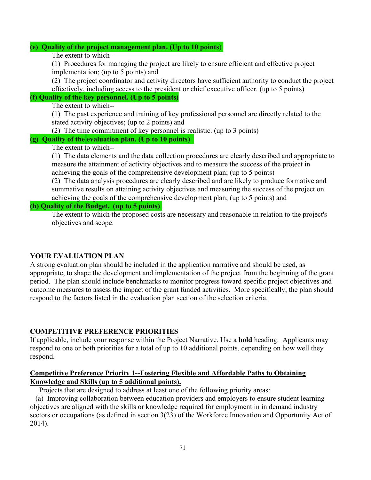### **(e) Quality of the project management plan. (Up to 10 points**)

The extent to which--

(1) Procedures for managing the project are likely to ensure efficient and effective project implementation; (up to 5 points) and

(2) The project coordinator and activity directors have sufficient authority to conduct the project

effectively, including access to the president or chief executive officer. (up to 5 points)

### **(f) Quality of the key personnel. (Up to 5 points)**

The extent to which--

(1) The past experience and training of key professional personnel are directly related to the stated activity objectives; (up to 2 points) and

(2) The time commitment of key personnel is realistic. (up to 3 points)

### **(g) Quality of the evaluation plan. (Up to 10 points)**

The extent to which--

(1) The data elements and the data collection procedures are clearly described and appropriate to measure the attainment of activity objectives and to measure the success of the project in achieving the goals of the comprehensive development plan; (up to 5 points)

(2) The data analysis procedures are clearly described and are likely to produce formative and summative results on attaining activity objectives and measuring the success of the project on achieving the goals of the comprehensive development plan; (up to 5 points) and

### **(h) Quality of the Budget. (up to 5 points)**

The extent to which the proposed costs are necessary and reasonable in relation to the project's objectives and scope.

# **YOUR EVALUATION PLAN**

A strong evaluation plan should be included in the application narrative and should be used, as appropriate, to shape the development and implementation of the project from the beginning of the grant period. The plan should include benchmarks to monitor progress toward specific project objectives and outcome measures to assess the impact of the grant funded activities. More specifically, the plan should respond to the factors listed in the evaluation plan section of the selection criteria.

# **COMPETITIVE PREFERENCE PRIORITIES**

If applicable, include your response within the Project Narrative. Use a **bold** heading. Applicants may respond to one or both priorities for a total of up to 10 additional points, depending on how well they respond.

# **Competitive Preference Priority 1--Fostering Flexible and Affordable Paths to Obtaining Knowledge and Skills (up to 5 additional points).**

Projects that are designed to address at least one of the following priority areas:

 (a) Improving collaboration between education providers and employers to ensure student learning objectives are aligned with the skills or knowledge required for employment in in demand industry sectors or occupations (as defined in section 3(23) of the Workforce Innovation and Opportunity Act of 2014).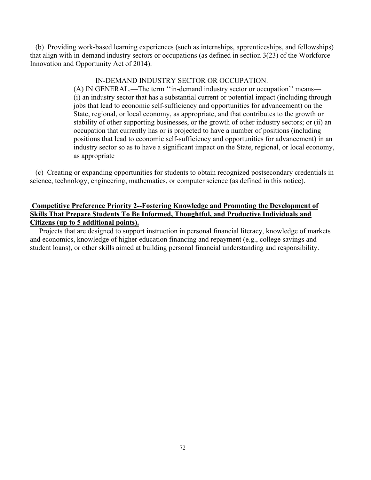(b) Providing work-based learning experiences (such as internships, apprenticeships, and fellowships) that align with in-demand industry sectors or occupations (as defined in section 3(23) of the Workforce Innovation and Opportunity Act of 2014).

#### IN-DEMAND INDUSTRY SECTOR OR OCCUPATION.—

(A) IN GENERAL.—The term ''in-demand industry sector or occupation'' means— (i) an industry sector that has a substantial current or potential impact (including through jobs that lead to economic self-sufficiency and opportunities for advancement) on the State, regional, or local economy, as appropriate, and that contributes to the growth or stability of other supporting businesses, or the growth of other industry sectors; or (ii) an occupation that currently has or is projected to have a number of positions (including positions that lead to economic self-sufficiency and opportunities for advancement) in an industry sector so as to have a significant impact on the State, regional, or local economy, as appropriate

 (c) Creating or expanding opportunities for students to obtain recognized postsecondary credentials in science, technology, engineering, mathematics, or computer science (as defined in this notice).

# **Competitive Preference Priority 2--Fostering Knowledge and Promoting the Development of Skills That Prepare Students To Be Informed, Thoughtful, and Productive Individuals and Citizens (up to 5 additional points).**

 Projects that are designed to support instruction in personal financial literacy, knowledge of markets and economics, knowledge of higher education financing and repayment (e.g., college savings and student loans), or other skills aimed at building personal financial understanding and responsibility.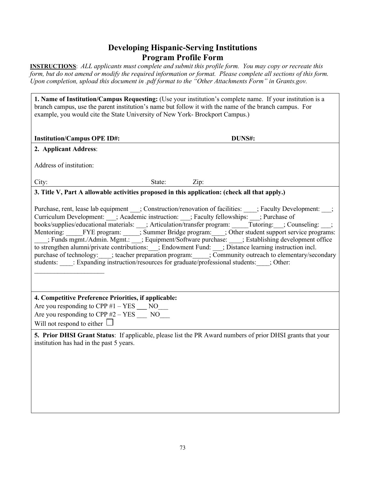# **Developing Hispanic-Serving Institutions Program Profile Form**

**INSTRUCTIONS**: *ALL applicants must complete and submit this profile form. You may copy or recreate this form, but do not amend or modify the required information or format. Please complete all sections of this form. Upon completion, upload this document in .pdf format to the "Other Attachments Form" in Grants.gov.* 

**1. Name of Institution/Campus Requesting:** (Use your institution's complete name. If your institution is a branch campus, use the parent institution's name but follow it with the name of the branch campus. For example, you would cite the State University of New York- Brockport Campus.) **Institution/Campus OPE ID#: DUNS#: 2. Applicant Address**: Address of institution: City: State: Zip: **3. Title V, Part A allowable activities proposed in this application: (check all that apply.)**  Purchase, rent, lease lab equipment  $\qquad$ ; Construction/renovation of facilities:  $\qquad$ ; Faculty Development: ; Curriculum Development:  $\therefore$ ; Academic instruction:  $\therefore$ ; Faculty fellowships:  $\therefore$ ; Purchase of books/supplies/educational materials:  $\therefore$  Articulation/transfer program: Tutoring:  $\therefore$  Counseling: Mentoring: FYE program: \_\_\_\_; Summer Bridge program: \_\_\_; Other student support service programs: \_\_\_\_; Funds mgmt./Admin. Mgmt.: \_\_\_; Equipment/Software purchase: \_\_\_\_; Establishing development office to strengthen alumni/private contributions:  $\therefore$  Endowment Fund:  $\therefore$  Distance learning instruction incl. purchase of technology: ; teacher preparation program: ; Community outreach to elementary/secondary students: : Expanding instruction/resources for graduate/professional students: ; Other:  $\overline{\phantom{a}}$  , and the set of the set of the set of the set of the set of the set of the set of the set of the set of the set of the set of the set of the set of the set of the set of the set of the set of the set of the s **4. Competitive Preference Priorities, if applicable:**  Are you responding to CPP #1 – YES **\_\_\_** NO\_\_\_ Are you responding to CPP  $#2 - YES$  NO Will not respond to either  $\Box$ **5. Prior DHSI Grant Status**: If applicable, please list the PR Award numbers of prior DHSI grants that your institution has had in the past 5 years.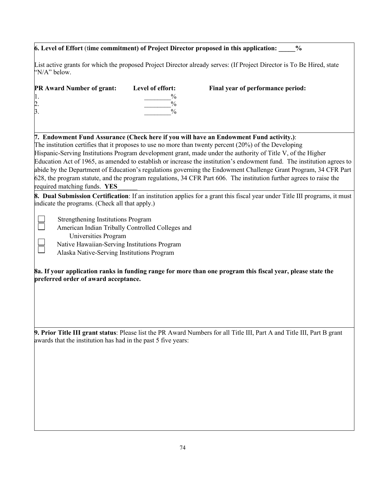# **6. Level of Effort** (t**ime commitment) of Project Director proposed in this application: \_\_\_\_\_%**

List active grants for which the proposed Project Director already serves: (If Project Director is To Be Hired, state "N/A" below.

| $\frac{0}{0}$ |  |
|---------------|--|
|               |  |
| Ź.,           |  |
|               |  |

#### **7. Endowment Fund Assurance (Check here if you will have an Endowment Fund activity.)**:

The institution certifies that it proposes to use no more than twenty percent (20%) of the Developing Hispanic-Serving Institutions Program development grant, made under the authority of Title V, of the Higher Education Act of 1965, as amended to establish or increase the institution's endowment fund. The institution agrees to abide by the Department of Education's regulations governing the Endowment Challenge Grant Program, 34 CFR Part 628, the program statute, and the program regulations, 34 CFR Part 606. The institution further agrees to raise the required matching funds. **YES**\_\_\_\_\_\_

**8. Dual Submission Certification**: If an institution applies for a grant this fiscal year under Title III programs, it must indicate the programs. (Check all that apply.)

Strengthening Institutions Program

American Indian Tribally Controlled Colleges and

Universities Program

Native Hawaiian-Serving Institutions Program

Alaska Native-Serving Institutions Program

**8a. If your application ranks in funding range for more than one program this fiscal year, please state the preferred order of award acceptance.** 

**9. Prior Title III grant status**: Please list the PR Award Numbers for all Title III, Part A and Title III, Part B grant awards that the institution has had in the past 5 five years: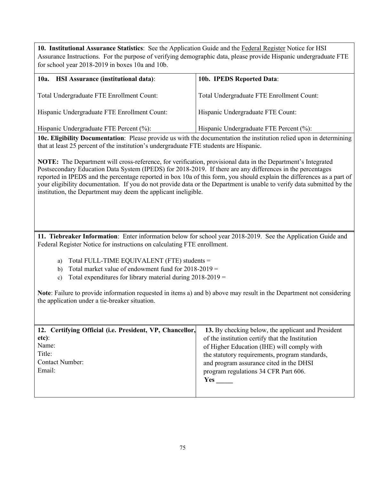**10. Institutional Assurance Statistics**: See the Application Guide and the Federal Register Notice for HSI Assurance Instructions. For the purpose of verifying demographic data, please provide Hispanic undergraduate FTE for school year 2018-2019 in boxes 10a and 10b.

| <b>HSI Assurance (institutional data):</b><br>10a. | 10b. IPEDS Reported Data:                 |
|----------------------------------------------------|-------------------------------------------|
|                                                    |                                           |
| Total Undergraduate FTE Enrollment Count:          | Total Undergraduate FTE Enrollment Count: |
|                                                    |                                           |
| Hispanic Undergraduate FTE Enrollment Count:       | Hispanic Undergraduate FTE Count:         |
|                                                    |                                           |
| Hispanic Undergraduate FTE Percent (%):            | Hispanic Undergraduate FTE Percent (%):   |
|                                                    |                                           |

**10c. Eligibility Documentation**: Please provide us with the documentation the institution relied upon in determining that at least 25 percent of the institution's undergraduate FTE students are Hispanic.

**NOTE:** The Department will cross-reference, for verification, provisional data in the Department's Integrated Postsecondary Education Data System (IPEDS) for 2018-2019. If there are any differences in the percentages reported in IPEDS and the percentage reported in box 10a of this form, you should explain the differences as a part of your eligibility documentation. If you do not provide data or the Department is unable to verify data submitted by the institution, the Department may deem the applicant ineligible.

**11. Tiebreaker Information**: Enter information below for school year 2018-2019. See the Application Guide and Federal Register Notice for instructions on calculating FTE enrollment.

- a) Total FULL-TIME EQUIVALENT (FTE) students =
- b) Total market value of endowment fund for 2018-2019 =

c) Total expenditures for library material during  $2018-2019 =$ 

**Note**: Failure to provide information requested in items a) and b) above may result in the Department not considering the application under a tie-breaker situation.

| 12. Certifying Official (i.e. President, VP, Chancellor, | 13. By checking below, the applicant and President |
|----------------------------------------------------------|----------------------------------------------------|
| etc):                                                    | of the institution certify that the Institution    |
| Name:                                                    | of Higher Education (IHE) will comply with         |
| Title:                                                   | the statutory requirements, program standards,     |
| <b>Contact Number:</b>                                   | and program assurance cited in the DHSI            |
| Email:                                                   | program regulations 34 CFR Part 606.               |
|                                                          | <b>Yes</b>                                         |
|                                                          |                                                    |
|                                                          |                                                    |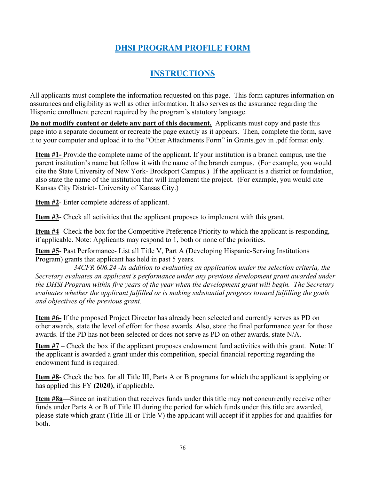# **DHSI PROGRAM PROFILE FORM**

# **INSTRUCTIONS**

All applicants must complete the information requested on this page. This form captures information on assurances and eligibility as well as other information. It also serves as the assurance regarding the Hispanic enrollment percent required by the program's statutory language.

**Do not modify content or delete any part of this document.** Applicants must copy and paste this page into a separate document or recreate the page exactly as it appears. Then, complete the form, save it to your computer and upload it to the "Other Attachments Form" in Grants.gov in .pdf format only.

**Item #1-** Provide the complete name of the applicant. If your institution is a branch campus, use the parent institution's name but follow it with the name of the branch campus. (For example, you would cite the State University of New York- Brockport Campus.) If the applicant is a district or foundation, also state the name of the institution that will implement the project. (For example, you would cite Kansas City District- University of Kansas City.)

**Item #2**- Enter complete address of applicant.

**Item #3**- Check all activities that the applicant proposes to implement with this grant.

**Item #4**- Check the box for the Competitive Preference Priority to which the applicant is responding, if applicable. Note: Applicants may respond to 1, both or none of the priorities.

**Item #5**- Past Performance- List all Title V, Part A (Developing Hispanic-Serving Institutions Program) grants that applicant has held in past 5 years.

*34CFR 606.24 -In addition to evaluating an application under the selection criteria, the Secretary evaluates an applicant's performance under any previous development grant awarded under the DHSI Program within five years of the year when the development grant will begin. The Secretary evaluates whether the applicant fulfilled or is making substantial progress toward fulfilling the goals and objectives of the previous grant.* 

**Item #6-** If the proposed Project Director has already been selected and currently serves as PD on other awards, state the level of effort for those awards. Also, state the final performance year for those awards. If the PD has not been selected or does not serve as PD on other awards, state N/A.

**Item #7** – Check the box if the applicant proposes endowment fund activities with this grant. **Note**: If the applicant is awarded a grant under this competition, special financial reporting regarding the endowment fund is required.

**Item #8**- Check the box for all Title III, Parts A or B programs for which the applicant is applying or has applied this FY **(2020)**, if applicable.

**Item #8a***—*Since an institution that receives funds under this title may **not** concurrently receive other funds under Parts A or B of Title III during the period for which funds under this title are awarded, please state which grant (Title III or Title V) the applicant will accept if it applies for and qualifies for both.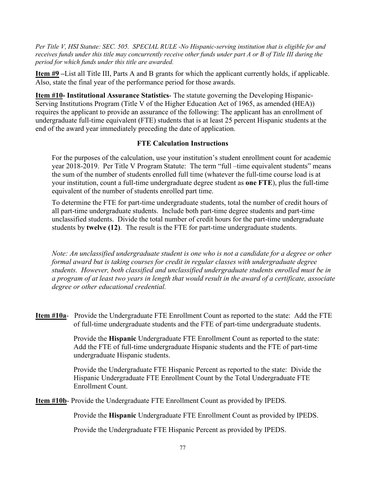*Per Title V, HSI Statute: SEC. 505. SPECIAL RULE -No Hispanic-serving institution that is eligible for and receives funds under this title may concurrently receive other funds under part A or B of Title III during the period for which funds under this title are awarded.* 

**Item #9** *–*List all Title III, Parts A and B grants for which the applicant currently holds, if applicable. Also, state the final year of the performance period for those awards.

**Item #10- Institutional Assurance Statistics**- The statute governing the Developing Hispanic-Serving Institutions Program (Title V of the Higher Education Act of 1965, as amended (HEA)) requires the applicant to provide an assurance of the following: The applicant has an enrollment of undergraduate full-time equivalent (FTE) students that is at least 25 percent Hispanic students at the end of the award year immediately preceding the date of application.

### **FTE Calculation Instructions**

For the purposes of the calculation, use your institution's student enrollment count for academic year 2018-2019. Per Title V Program Statute: The term "full –time equivalent students" means the sum of the number of students enrolled full time (whatever the full-time course load is at your institution, count a full-time undergraduate degree student as **one FTE**), plus the full-time equivalent of the number of students enrolled part time.

To determine the FTE for part-time undergraduate students, total the number of credit hours of all part-time undergraduate students. Include both part-time degree students and part-time unclassified students. Divide the total number of credit hours for the part-time undergraduate students by **twelve (12)**. The result is the FTE for part-time undergraduate students.

*Note: An unclassified undergraduate student is one who is not a candidate for a degree or other formal award but is taking courses for credit in regular classes with undergraduate degree students. However, both classified and unclassified undergraduate students enrolled must be in a program of at least two years in length that would result in the award of a certificate, associate degree or other educational credential.*

 **Item #10a**- Provide the Undergraduate FTE Enrollment Count as reported to the state: Add the FTE of full-time undergraduate students and the FTE of part-time undergraduate students.

> Provide the **Hispanic** Undergraduate FTE Enrollment Count as reported to the state: Add the FTE of full-time undergraduate Hispanic students and the FTE of part-time undergraduate Hispanic students.

> Provide the Undergraduate FTE Hispanic Percent as reported to the state: Divide the Hispanic Undergraduate FTE Enrollment Count by the Total Undergraduate FTE Enrollment Count.

**Item #10b**- Provide the Undergraduate FTE Enrollment Count as provided by IPEDS.

Provide the **Hispanic** Undergraduate FTE Enrollment Count as provided by IPEDS.

Provide the Undergraduate FTE Hispanic Percent as provided by IPEDS.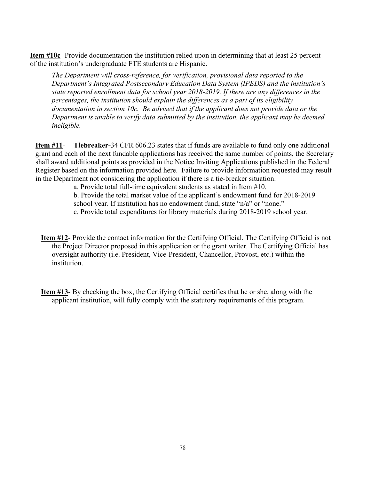**Item #10c**- Provide documentation the institution relied upon in determining that at least 25 percent of the institution's undergraduate FTE students are Hispanic.

*The Department will cross-reference, for verification, provisional data reported to the Department's Integrated Postsecondary Education Data System (IPEDS) and the institution's state reported enrollment data for school year 2018-2019. If there are any differences in the percentages, the institution should explain the differences as a part of its eligibility documentation in section 10c. Be advised that if the applicant does not provide data or the Department is unable to verify data submitted by the institution, the applicant may be deemed ineligible.*

**Item #11**- **Tiebreaker-**34 CFR 606.23 states that if funds are available to fund only one additional grant and each of the next fundable applications has received the same number of points, the Secretary shall award additional points as provided in the Notice Inviting Applications published in the Federal Register based on the information provided here. Failure to provide information requested may result in the Department not considering the application if there is a tie-breaker situation.

a. Provide total full-time equivalent students as stated in Item #10.

b. Provide the total market value of the applicant's endowment fund for 2018-2019

school year. If institution has no endowment fund, state "n/a" or "none."

c. Provide total expenditures for library materials during 2018-2019 school year.

 **Item #12**- Provide the contact information for the Certifying Official. The Certifying Official is not the Project Director proposed in this application or the grant writer. The Certifying Official has oversight authority (i.e. President, Vice-President, Chancellor, Provost, etc.) within the institution.

 **Item #13**- By checking the box, the Certifying Official certifies that he or she, along with the applicant institution, will fully comply with the statutory requirements of this program.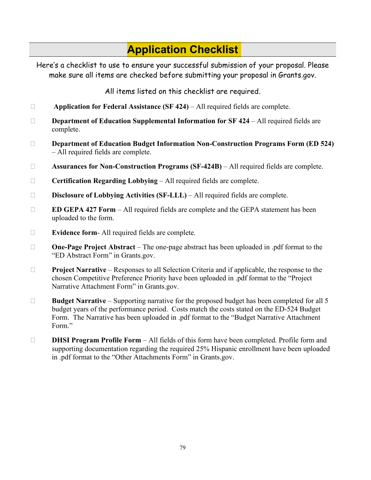# **Application Checklist**

Here's a checklist to use to ensure your successful submission of your proposal. Please make sure all items are checked before submitting your proposal in Grants.gov.

All items listed on this checklist are required.

- **Application for Federal Assistance (SF 424)** All required fields are complete.
- **Department of Education Supplemental Information for SF 424** All required fields are complete.
- **Department of Education Budget Information Non-Construction Programs Form (ED 524)** – All required fields are complete.
- **Assurances for Non-Construction Programs (SF-424B)** All required fields are complete.
- **Certification Regarding Lobbying** All required fields are complete.
- **Disclosure of Lobbying Activities (SF-LLL)** All required fields are complete.
- **ED GEPA 427 Form** All required fields are complete and the GEPA statement has been uploaded to the form.
- **Evidence form** All required fields are complete.
- **One-Page Project Abstract** The one-page abstract has been uploaded in .pdf format to the "ED Abstract Form" in Grants.gov.
- **Project Narrative** Responses to all Selection Criteria and if applicable, the response to the chosen Competitive Preference Priority have been uploaded in .pdf format to the "Project Narrative Attachment Form" in Grants.gov.
- **Budget Narrative** Supporting narrative for the proposed budget has been completed for all 5 budget years of the performance period. Costs match the costs stated on the ED-524 Budget Form. The Narrative has been uploaded in .pdf format to the "Budget Narrative Attachment Form."
- □ **DHSI Program Profile Form** All fields of this form have been completed. Profile form and supporting documentation regarding the required 25% Hispanic enrollment have been uploaded in .pdf format to the "Other Attachments Form" in Grants.gov.